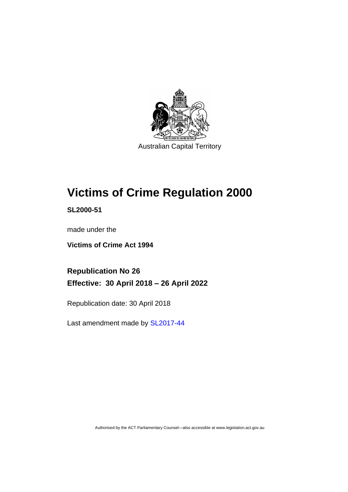

# **Victims of Crime Regulation 2000**

**SL2000-51**

made under the

**Victims of Crime Act 1994**

**Republication No 26 Effective: 30 April 2018 – 26 April 2022**

Republication date: 30 April 2018

Last amendment made by [SL2017-44](http://www.legislation.act.gov.au/sl/2017-44/default.asp)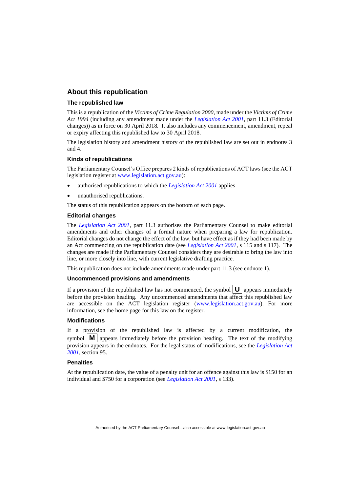### **About this republication**

#### **The republished law**

This is a republication of the *Victims of Crime Regulation 2000*, made under the *Victims of Crime Act 1994* (including any amendment made under the *[Legislation Act 2001](http://www.legislation.act.gov.au/a/2001-14)*, part 11.3 (Editorial changes)) as in force on 30 April 2018*.* It also includes any commencement, amendment, repeal or expiry affecting this republished law to 30 April 2018.

The legislation history and amendment history of the republished law are set out in endnotes 3 and 4.

#### **Kinds of republications**

The Parliamentary Counsel's Office prepares 2 kinds of republications of ACT laws (see the ACT legislation register at [www.legislation.act.gov.au\)](http://www.legislation.act.gov.au/):

- authorised republications to which the *[Legislation Act 2001](http://www.legislation.act.gov.au/a/2001-14)* applies
- unauthorised republications.

The status of this republication appears on the bottom of each page.

#### **Editorial changes**

The *[Legislation Act 2001](http://www.legislation.act.gov.au/a/2001-14)*, part 11.3 authorises the Parliamentary Counsel to make editorial amendments and other changes of a formal nature when preparing a law for republication. Editorial changes do not change the effect of the law, but have effect as if they had been made by an Act commencing on the republication date (see *[Legislation Act 2001](http://www.legislation.act.gov.au/a/2001-14)*, s 115 and s 117). The changes are made if the Parliamentary Counsel considers they are desirable to bring the law into line, or more closely into line, with current legislative drafting practice.

This republication does not include amendments made under part 11.3 (see endnote 1).

#### **Uncommenced provisions and amendments**

If a provision of the republished law has not commenced, the symbol  $\mathbf{U}$  appears immediately before the provision heading. Any uncommenced amendments that affect this republished law are accessible on the ACT legislation register [\(www.legislation.act.gov.au\)](http://www.legislation.act.gov.au/). For more information, see the home page for this law on the register.

### **Modifications**

If a provision of the republished law is affected by a current modification, the symbol  $\mathbf{M}$  appears immediately before the provision heading. The text of the modifying provision appears in the endnotes. For the legal status of modifications, see the *[Legislation Act](http://www.legislation.act.gov.au/a/2001-14)  [2001](http://www.legislation.act.gov.au/a/2001-14)*, section 95.

#### **Penalties**

At the republication date, the value of a penalty unit for an offence against this law is \$150 for an individual and \$750 for a corporation (see *[Legislation Act 2001](http://www.legislation.act.gov.au/a/2001-14)*, s 133).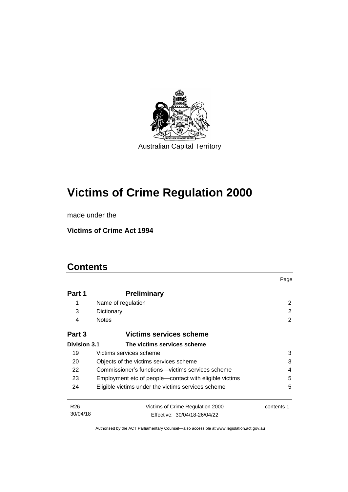

# **Victims of Crime Regulation 2000**

made under the

**Victims of Crime Act 1994**

# **Contents**

|                     |                                                             | Page       |  |
|---------------------|-------------------------------------------------------------|------------|--|
| Part 1              | <b>Preliminary</b>                                          |            |  |
| 1                   | Name of regulation                                          | 2          |  |
| 3                   | Dictionary                                                  | 2          |  |
| 4                   | <b>Notes</b>                                                | 2          |  |
| Part 3              | Victims services scheme                                     |            |  |
| <b>Division 3.1</b> | The victims services scheme                                 |            |  |
| 19                  | Victims services scheme                                     | 3          |  |
| 20                  | 3<br>Objects of the victims services scheme                 |            |  |
| 22                  | Commissioner's functions—victims services scheme<br>4       |            |  |
| 23                  | 5<br>Employment etc of people—contact with eligible victims |            |  |
| 24                  | Eligible victims under the victims services scheme          | 5          |  |
| R <sub>26</sub>     | Victims of Crime Regulation 2000                            | contents 1 |  |
| 30/04/18            | Effective: 30/04/18-26/04/22                                |            |  |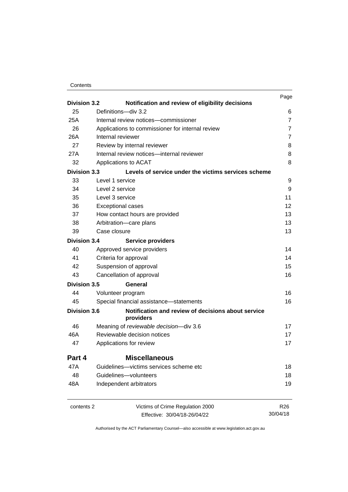| Contents |
|----------|
|----------|

| <b>Division 3.2</b> |                                                                         | Page            |
|---------------------|-------------------------------------------------------------------------|-----------------|
|                     | Notification and review of eligibility decisions<br>Definitions-div 3.2 |                 |
| 25                  |                                                                         | 6               |
| 25A                 | Internal review notices-commissioner                                    | $\overline{7}$  |
| 26                  | Applications to commissioner for internal review                        | $\overline{7}$  |
| 26A                 | Internal reviewer                                                       | $\overline{7}$  |
| 27                  | Review by internal reviewer                                             | 8               |
| 27A                 | Internal review notices-internal reviewer                               | 8               |
| 32                  | Applications to ACAT                                                    | 8               |
| <b>Division 3.3</b> | Levels of service under the victims services scheme                     |                 |
| 33                  | Level 1 service                                                         | 9               |
| 34                  | Level 2 service                                                         | 9               |
| 35                  | Level 3 service                                                         | 11              |
| 36                  | <b>Exceptional cases</b>                                                | 12              |
| 37                  | How contact hours are provided                                          | 13              |
| 38                  | Arbitration-care plans                                                  | 13              |
| 39                  | Case closure                                                            | 13              |
| <b>Division 3.4</b> | <b>Service providers</b>                                                |                 |
| 40                  | Approved service providers                                              | 14              |
| 41                  | Criteria for approval                                                   | 14              |
| 42                  | Suspension of approval                                                  | 15              |
| 43                  | Cancellation of approval                                                | 16              |
| <b>Division 3.5</b> | General                                                                 |                 |
| 44                  | Volunteer program                                                       | 16              |
| 45                  | Special financial assistance-statements                                 | 16              |
| <b>Division 3.6</b> | Notification and review of decisions about service<br>providers         |                 |
| 46                  | Meaning of reviewable decision-div 3.6                                  | 17              |
| 46A                 | Reviewable decision notices                                             | 17              |
| 47                  | Applications for review                                                 | 17              |
| Part 4              | <b>Miscellaneous</b>                                                    |                 |
| 47A                 | Guidelines-victims services scheme etc                                  | 18              |
| 48                  | Guidelines-volunteers                                                   | 18              |
| 48A                 | Independent arbitrators                                                 | 19              |
| contents 2          | Victims of Crime Regulation 2000                                        | R <sub>26</sub> |
|                     | Effective: 30/04/18-26/04/22                                            | 30/04/18        |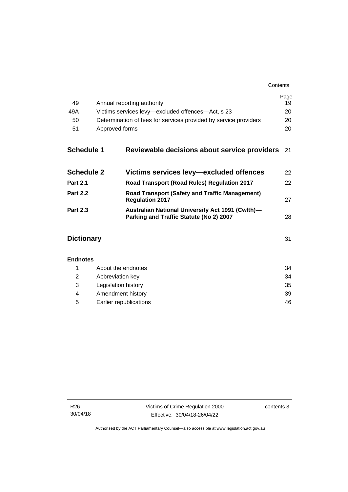| Contents |
|----------|
|----------|

| 49                |                                                                                                    | Page<br>19 |  |
|-------------------|----------------------------------------------------------------------------------------------------|------------|--|
| 49A               | Annual reporting authority                                                                         |            |  |
|                   | Victims services levy-excluded offences-Act, s 23                                                  |            |  |
|                   | 50<br>Determination of fees for services provided by service providers                             |            |  |
| 51                | Approved forms                                                                                     | 20         |  |
| <b>Schedule 1</b> | Reviewable decisions about service providers                                                       | 21         |  |
| <b>Schedule 2</b> | Victims services levy—excluded offences                                                            | 22         |  |
| <b>Part 2.1</b>   | Road Transport (Road Rules) Regulation 2017                                                        | 22         |  |
| <b>Part 2.2</b>   | <b>Road Transport (Safety and Traffic Management)</b><br><b>Regulation 2017</b>                    | 27         |  |
| <b>Part 2.3</b>   | <b>Australian National University Act 1991 (Cwlth)-</b><br>Parking and Traffic Statute (No 2) 2007 | 28         |  |
| <b>Dictionary</b> |                                                                                                    | 31         |  |
| <b>Endnotes</b>   |                                                                                                    |            |  |
| 1                 | About the endnotes                                                                                 | 34         |  |
| 2                 | Abbreviation key                                                                                   |            |  |
| 3                 | Legislation history                                                                                | 35         |  |
| 4                 | Amendment history                                                                                  |            |  |

5 [Earlier republications](#page-51-0) 46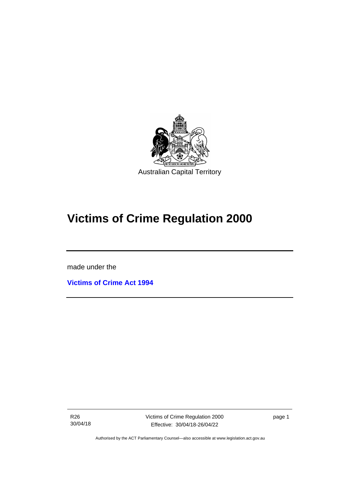

# **Victims of Crime Regulation 2000**

made under the

ֺ֝֡

**[Victims of Crime Act 1994](http://www.legislation.act.gov.au/a/1994-83)**

R26 30/04/18 page 1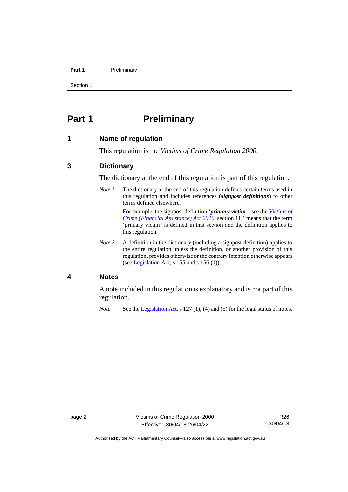#### **Part 1** Preliminary

Section 1

# <span id="page-7-0"></span>**Part 1 Preliminary**

### <span id="page-7-1"></span>**1 Name of regulation**

This regulation is the *Victims of Crime Regulation 2000*.

### <span id="page-7-2"></span>**3 Dictionary**

The dictionary at the end of this regulation is part of this regulation.

*Note 1* The dictionary at the end of this regulation defines certain terms used in this regulation and includes references (*signpost definitions*) to other terms defined elsewhere.

> For example, the signpost definition '*primary victim*—see the *[Victims of](http://www.legislation.act.gov.au/a/2016-12/default.asp)  [Crime \(Financial Assistance\) Act](http://www.legislation.act.gov.au/a/2016-12/default.asp) 2016*, section 11.' means that the term 'primary victim' is defined in that section and the definition applies to this regulation.

*Note* 2 A definition in the dictionary (including a signpost definition) applies to the entire regulation unless the definition, or another provision of this regulation, provides otherwise or the contrary intention otherwise appears (se[e Legislation Act,](http://www.legislation.act.gov.au/a/2001-14) s 155 and s 156 (1)).

### <span id="page-7-3"></span>**4 Notes**

A note included in this regulation is explanatory and is not part of this regulation.

*Note* See the [Legislation Act,](http://www.legislation.act.gov.au/a/2001-14) s 127 (1), (4) and (5) for the legal status of notes.

Authorised by the ACT Parliamentary Counsel—also accessible at www.legislation.act.gov.au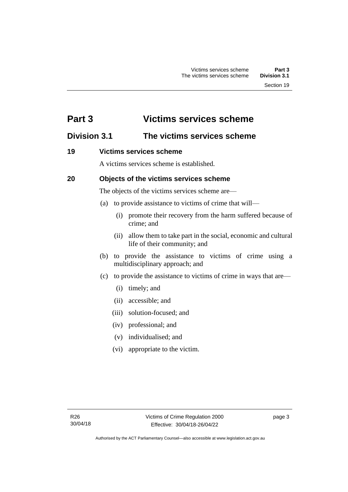# <span id="page-8-0"></span>**Part 3 Victims services scheme**

### <span id="page-8-1"></span>**Division 3.1 The victims services scheme**

### <span id="page-8-2"></span>**19 Victims services scheme**

A victims services scheme is established.

### <span id="page-8-3"></span>**20 Objects of the victims services scheme**

The objects of the victims services scheme are—

- (a) to provide assistance to victims of crime that will—
	- (i) promote their recovery from the harm suffered because of crime; and
	- (ii) allow them to take part in the social, economic and cultural life of their community; and
- (b) to provide the assistance to victims of crime using a multidisciplinary approach; and
- (c) to provide the assistance to victims of crime in ways that are—
	- (i) timely; and
	- (ii) accessible; and
	- (iii) solution-focused; and
	- (iv) professional; and
	- (v) individualised; and
	- (vi) appropriate to the victim.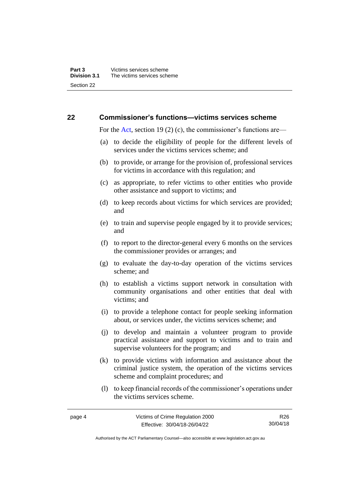### <span id="page-9-0"></span>**22 Commissioner's functions—victims services scheme**

For the [Act,](http://www.legislation.act.gov.au/a/1994-83/default.asp) section 19 (2) (c), the commissioner's functions are—

- (a) to decide the eligibility of people for the different levels of services under the victims services scheme; and
- (b) to provide, or arrange for the provision of, professional services for victims in accordance with this regulation; and
- (c) as appropriate, to refer victims to other entities who provide other assistance and support to victims; and
- (d) to keep records about victims for which services are provided; and
- (e) to train and supervise people engaged by it to provide services; and
- (f) to report to the director-general every 6 months on the services the commissioner provides or arranges; and
- (g) to evaluate the day-to-day operation of the victims services scheme; and
- (h) to establish a victims support network in consultation with community organisations and other entities that deal with victims; and
- (i) to provide a telephone contact for people seeking information about, or services under, the victims services scheme; and
- (j) to develop and maintain a volunteer program to provide practical assistance and support to victims and to train and supervise volunteers for the program; and
- (k) to provide victims with information and assistance about the criminal justice system, the operation of the victims services scheme and complaint procedures; and
- (l) to keep financial records of the commissioner's operations under the victims services scheme.

page 4 Victims of Crime Regulation 2000 Effective: 30/04/18-26/04/22 R26 30/04/18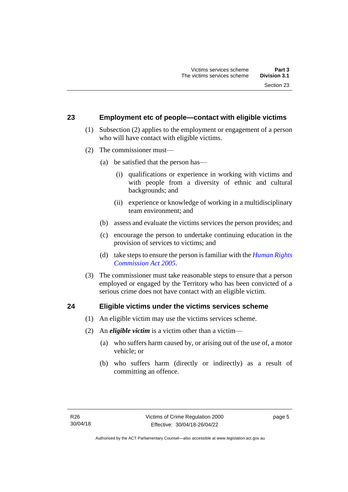### <span id="page-10-0"></span>**23 Employment etc of people—contact with eligible victims**

- (1) Subsection (2) applies to the employment or engagement of a person who will have contact with eligible victims.
- (2) The commissioner must—
	- (a) be satisfied that the person has—
		- (i) qualifications or experience in working with victims and with people from a diversity of ethnic and cultural backgrounds; and
		- (ii) experience or knowledge of working in a multidisciplinary team environment; and
	- (b) assess and evaluate the victims services the person provides; and
	- (c) encourage the person to undertake continuing education in the provision of services to victims; and
	- (d) take steps to ensure the person is familiar with the *[Human Rights](http://www.legislation.act.gov.au/a/2005-40)  [Commission Act 2005](http://www.legislation.act.gov.au/a/2005-40)*.
- (3) The commissioner must take reasonable steps to ensure that a person employed or engaged by the Territory who has been convicted of a serious crime does not have contact with an eligible victim.

### <span id="page-10-1"></span>**24 Eligible victims under the victims services scheme**

- (1) An eligible victim may use the victims services scheme.
- (2) An *eligible victim* is a victim other than a victim—
	- (a) who suffers harm caused by, or arising out of the use of, a motor vehicle; or
	- (b) who suffers harm (directly or indirectly) as a result of committing an offence.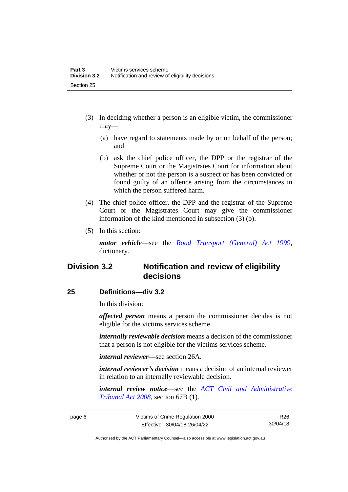- (3) In deciding whether a person is an eligible victim, the commissioner may—
	- (a) have regard to statements made by or on behalf of the person; and
	- (b) ask the chief police officer, the DPP or the registrar of the Supreme Court or the Magistrates Court for information about whether or not the person is a suspect or has been convicted or found guilty of an offence arising from the circumstances in which the person suffered harm.
- (4) The chief police officer, the DPP and the registrar of the Supreme Court or the Magistrates Court may give the commissioner information of the kind mentioned in subsection (3) (b).
- (5) In this section:

*motor vehicle*—see the *[Road Transport \(General\) Act 1999](http://www.legislation.act.gov.au/a/1999-77)*, dictionary.

# <span id="page-11-0"></span>**Division 3.2 Notification and review of eligibility decisions**

### <span id="page-11-1"></span>**25 Definitions—div 3.2**

In this division:

*affected person* means a person the commissioner decides is not eligible for the victims services scheme.

*internally reviewable decision* means a decision of the commissioner that a person is not eligible for the victims services scheme.

*internal reviewer—*see section 26A.

*internal reviewer's decision* means a decision of an internal reviewer in relation to an internally reviewable decision.

*internal review notice*—see the *[ACT Civil and Administrative](http://www.legislation.act.gov.au/a/2008-35)  [Tribunal Act 2008](http://www.legislation.act.gov.au/a/2008-35)*, section 67B (1).

page 6 Victims of Crime Regulation 2000 Effective: 30/04/18-26/04/22

R26 30/04/18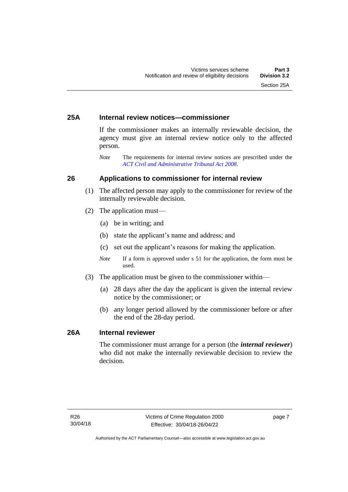### <span id="page-12-0"></span>**25A Internal review notices—commissioner**

If the commissioner makes an internally reviewable decision, the agency must give an internal review notice only to the affected person.

*Note* The requirements for internal review notices are prescribed under the *[ACT Civil and Administrative Tribunal Act 2008](http://www.legislation.act.gov.au/a/2008-35)*.

### <span id="page-12-1"></span>**26 Applications to commissioner for internal review**

- (1) The affected person may apply to the commissioner for review of the internally reviewable decision.
- (2) The application must—
	- (a) be in writing; and
	- (b) state the applicant's name and address; and
	- (c) set out the applicant's reasons for making the application.
	- *Note* If a form is approved under s 51 for the application, the form must be used.
- (3) The application must be given to the commissioner within—
	- (a) 28 days after the day the applicant is given the internal review notice by the commissioner; or
	- (b) any longer period allowed by the commissioner before or after the end of the 28-day period.

### <span id="page-12-2"></span>**26A Internal reviewer**

The commissioner must arrange for a person (the *internal reviewer*) who did not make the internally reviewable decision to review the decision.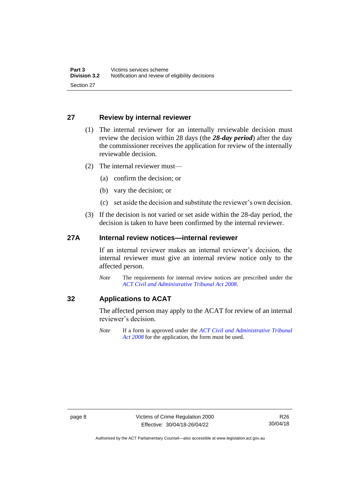### <span id="page-13-0"></span>**27 Review by internal reviewer**

- (1) The internal reviewer for an internally reviewable decision must review the decision within 28 days (the *28-day period*) after the day the commissioner receives the application for review of the internally reviewable decision.
- (2) The internal reviewer must—
	- (a) confirm the decision; or
	- (b) vary the decision; or
	- (c) set aside the decision and substitute the reviewer's own decision.
- (3) If the decision is not varied or set aside within the 28-day period, the decision is taken to have been confirmed by the internal reviewer.

### <span id="page-13-1"></span>**27A Internal review notices—internal reviewer**

If an internal reviewer makes an internal reviewer's decision, the internal reviewer must give an internal review notice only to the affected person.

*Note* The requirements for internal review notices are prescribed under the *[ACT Civil and Administrative Tribunal Act 2008](http://www.legislation.act.gov.au/a/2008-35)*.

### <span id="page-13-2"></span>**32 Applications to ACAT**

The affected person may apply to the ACAT for review of an internal reviewer's decision.

*Note* If a form is approved under the *[ACT Civil and Administrative Tribunal](http://www.legislation.act.gov.au/a/2008-35)  [Act 2008](http://www.legislation.act.gov.au/a/2008-35)* for the application, the form must be used.

Authorised by the ACT Parliamentary Counsel—also accessible at www.legislation.act.gov.au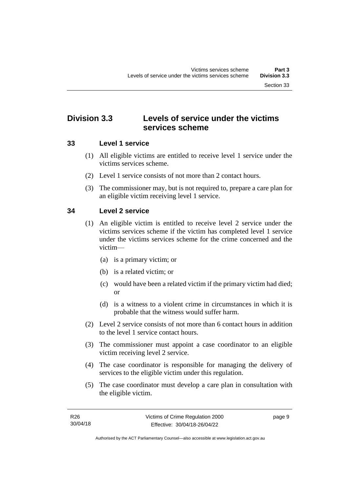# <span id="page-14-0"></span>**Division 3.3 Levels of service under the victims services scheme**

### <span id="page-14-1"></span>**33 Level 1 service**

- (1) All eligible victims are entitled to receive level 1 service under the victims services scheme.
- (2) Level 1 service consists of not more than 2 contact hours.
- (3) The commissioner may, but is not required to, prepare a care plan for an eligible victim receiving level 1 service.

### <span id="page-14-2"></span>**34 Level 2 service**

- (1) An eligible victim is entitled to receive level 2 service under the victims services scheme if the victim has completed level 1 service under the victims services scheme for the crime concerned and the victim—
	- (a) is a primary victim; or
	- (b) is a related victim; or
	- (c) would have been a related victim if the primary victim had died; or
	- (d) is a witness to a violent crime in circumstances in which it is probable that the witness would suffer harm.
- (2) Level 2 service consists of not more than 6 contact hours in addition to the level 1 service contact hours.
- (3) The commissioner must appoint a case coordinator to an eligible victim receiving level 2 service.
- (4) The case coordinator is responsible for managing the delivery of services to the eligible victim under this regulation.
- (5) The case coordinator must develop a care plan in consultation with the eligible victim.

page 9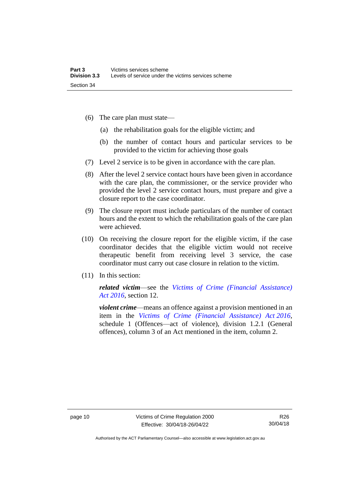- (6) The care plan must state—
	- (a) the rehabilitation goals for the eligible victim; and
	- (b) the number of contact hours and particular services to be provided to the victim for achieving those goals
- (7) Level 2 service is to be given in accordance with the care plan.
- (8) After the level 2 service contact hours have been given in accordance with the care plan, the commissioner, or the service provider who provided the level 2 service contact hours, must prepare and give a closure report to the case coordinator.
- (9) The closure report must include particulars of the number of contact hours and the extent to which the rehabilitation goals of the care plan were achieved.
- (10) On receiving the closure report for the eligible victim, if the case coordinator decides that the eligible victim would not receive therapeutic benefit from receiving level 3 service, the case coordinator must carry out case closure in relation to the victim.
- (11) In this section:

*related victim*—see the *[Victims of Crime \(Financial Assistance\)](http://www.legislation.act.gov.au/a/2016-12/default.asp)  Act [2016](http://www.legislation.act.gov.au/a/2016-12/default.asp)*, section 12.

*violent crime*—means an offence against a provision mentioned in an item in the *[Victims of Crime \(Financial Assistance\) Act](http://www.legislation.act.gov.au/a/2016-12/default.asp) 2016*, schedule 1 (Offences—act of violence), division 1.2.1 (General offences), column 3 of an Act mentioned in the item, column 2.

Authorised by the ACT Parliamentary Counsel—also accessible at www.legislation.act.gov.au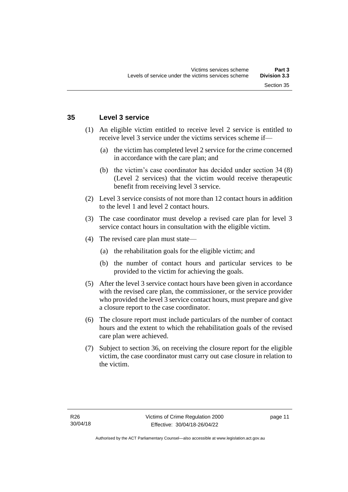### <span id="page-16-0"></span>**35 Level 3 service**

- (1) An eligible victim entitled to receive level 2 service is entitled to receive level 3 service under the victims services scheme if—
	- (a) the victim has completed level 2 service for the crime concerned in accordance with the care plan; and
	- (b) the victim's case coordinator has decided under section 34 (8) (Level 2 services) that the victim would receive therapeutic benefit from receiving level 3 service.
- (2) Level 3 service consists of not more than 12 contact hours in addition to the level 1 and level 2 contact hours.
- (3) The case coordinator must develop a revised care plan for level 3 service contact hours in consultation with the eligible victim.
- (4) The revised care plan must state—
	- (a) the rehabilitation goals for the eligible victim; and
	- (b) the number of contact hours and particular services to be provided to the victim for achieving the goals.
- (5) After the level 3 service contact hours have been given in accordance with the revised care plan, the commissioner, or the service provider who provided the level 3 service contact hours, must prepare and give a closure report to the case coordinator.
- (6) The closure report must include particulars of the number of contact hours and the extent to which the rehabilitation goals of the revised care plan were achieved.
- (7) Subject to section 36, on receiving the closure report for the eligible victim, the case coordinator must carry out case closure in relation to the victim.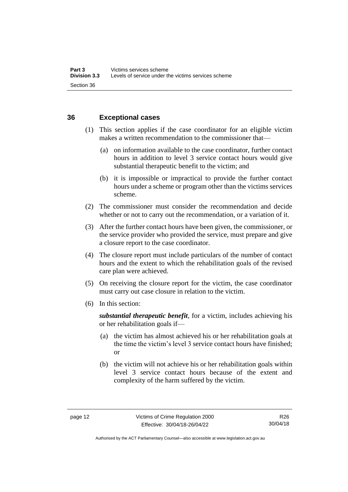### <span id="page-17-0"></span>**36 Exceptional cases**

- (1) This section applies if the case coordinator for an eligible victim makes a written recommendation to the commissioner that—
	- (a) on information available to the case coordinator, further contact hours in addition to level 3 service contact hours would give substantial therapeutic benefit to the victim; and
	- (b) it is impossible or impractical to provide the further contact hours under a scheme or program other than the victims services scheme.
- (2) The commissioner must consider the recommendation and decide whether or not to carry out the recommendation, or a variation of it.
- (3) After the further contact hours have been given, the commissioner, or the service provider who provided the service, must prepare and give a closure report to the case coordinator.
- (4) The closure report must include particulars of the number of contact hours and the extent to which the rehabilitation goals of the revised care plan were achieved.
- (5) On receiving the closure report for the victim, the case coordinator must carry out case closure in relation to the victim.
- (6) In this section:

*substantial therapeutic benefit*, for a victim, includes achieving his or her rehabilitation goals if—

- (a) the victim has almost achieved his or her rehabilitation goals at the time the victim's level 3 service contact hours have finished; or
- (b) the victim will not achieve his or her rehabilitation goals within level 3 service contact hours because of the extent and complexity of the harm suffered by the victim.

Authorised by the ACT Parliamentary Counsel—also accessible at www.legislation.act.gov.au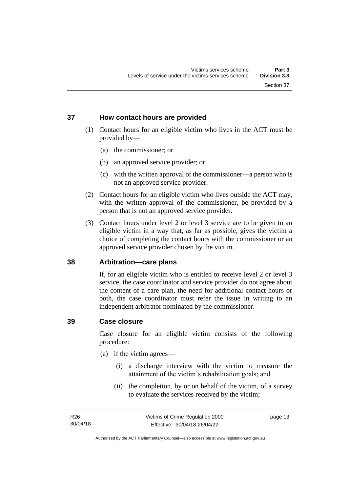### <span id="page-18-0"></span>**37 How contact hours are provided**

- (1) Contact hours for an eligible victim who lives in the ACT must be provided by—
	- (a) the commissioner; or
	- (b) an approved service provider; or
	- (c) with the written approval of the commissioner—a person who is not an approved service provider.
- (2) Contact hours for an eligible victim who lives outside the ACT may, with the written approval of the commissioner, be provided by a person that is not an approved service provider.
- (3) Contact hours under level 2 or level 3 service are to be given to an eligible victim in a way that, as far as possible, gives the victim a choice of completing the contact hours with the commissioner or an approved service provider chosen by the victim.

### <span id="page-18-1"></span>**38 Arbitration—care plans**

If, for an eligible victim who is entitled to receive level 2 or level 3 service, the case coordinator and service provider do not agree about the content of a care plan, the need for additional contact hours or both, the case coordinator must refer the issue in writing to an independent arbitrator nominated by the commissioner.

### <span id="page-18-2"></span>**39 Case closure**

Case closure for an eligible victim consists of the following procedure:

- (a) if the victim agrees—
	- (i) a discharge interview with the victim to measure the attainment of the victim's rehabilitation goals; and
	- (ii) the completion, by or on behalf of the victim, of a survey to evaluate the services received by the victim;

page 13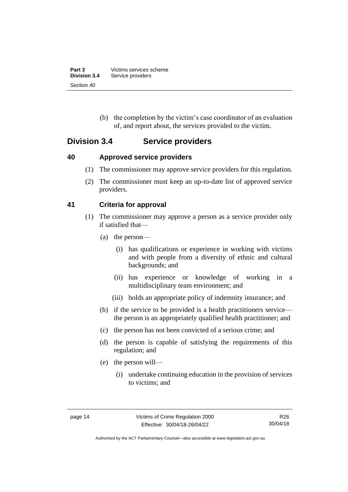| Part 3              | Victims services scheme |
|---------------------|-------------------------|
| <b>Division 3.4</b> | Service providers       |
| Section 40          |                         |

(b) the completion by the victim's case coordinator of an evaluation of, and report about, the services provided to the victim.

### <span id="page-19-0"></span>**Division 3.4 Service providers**

### <span id="page-19-1"></span>**40 Approved service providers**

- (1) The commissioner may approve service providers for this regulation.
- (2) The commissioner must keep an up-to-date list of approved service providers.

### <span id="page-19-2"></span>**41 Criteria for approval**

- (1) The commissioner may approve a person as a service provider only if satisfied that—
	- (a) the person—
		- (i) has qualifications or experience in working with victims and with people from a diversity of ethnic and cultural backgrounds; and
		- (ii) has experience or knowledge of working in a multidisciplinary team environment; and
		- (iii) holds an appropriate policy of indemnity insurance; and
	- (b) if the service to be provided is a health practitioners service the person is an appropriately qualified health practitioner; and
	- (c) the person has not been convicted of a serious crime; and
	- (d) the person is capable of satisfying the requirements of this regulation; and
	- (e) the person will—
		- (i) undertake continuing education in the provision of services to victims; and

Authorised by the ACT Parliamentary Counsel—also accessible at www.legislation.act.gov.au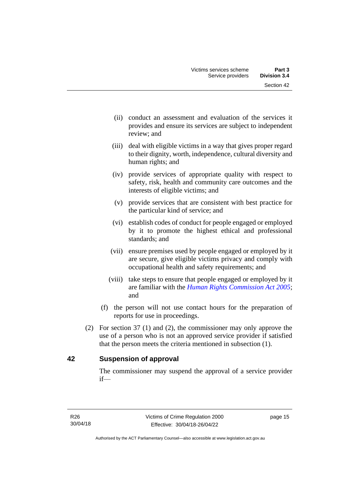- (ii) conduct an assessment and evaluation of the services it provides and ensure its services are subject to independent review; and
- (iii) deal with eligible victims in a way that gives proper regard to their dignity, worth, independence, cultural diversity and human rights; and
- (iv) provide services of appropriate quality with respect to safety, risk, health and community care outcomes and the interests of eligible victims; and
- (v) provide services that are consistent with best practice for the particular kind of service; and
- (vi) establish codes of conduct for people engaged or employed by it to promote the highest ethical and professional standards; and
- (vii) ensure premises used by people engaged or employed by it are secure, give eligible victims privacy and comply with occupational health and safety requirements; and
- (viii) take steps to ensure that people engaged or employed by it are familiar with the *[Human Rights Commission Act 2005](http://www.legislation.act.gov.au/a/2005-40)*; and
- (f) the person will not use contact hours for the preparation of reports for use in proceedings.
- (2) For section 37 (1) and (2), the commissioner may only approve the use of a person who is not an approved service provider if satisfied that the person meets the criteria mentioned in subsection (1).

### <span id="page-20-0"></span>**42 Suspension of approval**

The commissioner may suspend the approval of a service provider if—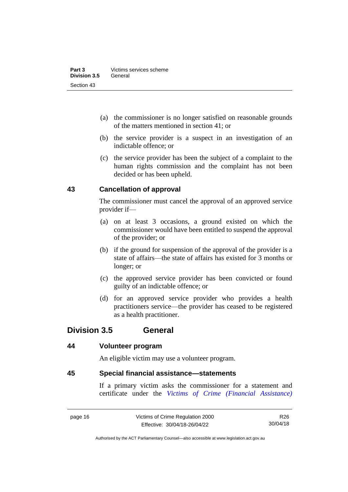- (a) the commissioner is no longer satisfied on reasonable grounds of the matters mentioned in section 41; or
- (b) the service provider is a suspect in an investigation of an indictable offence; or
- (c) the service provider has been the subject of a complaint to the human rights commission and the complaint has not been decided or has been upheld.

### <span id="page-21-0"></span>**43 Cancellation of approval**

The commissioner must cancel the approval of an approved service provider if—

- (a) on at least 3 occasions, a ground existed on which the commissioner would have been entitled to suspend the approval of the provider; or
- (b) if the ground for suspension of the approval of the provider is a state of affairs—the state of affairs has existed for 3 months or longer; or
- (c) the approved service provider has been convicted or found guilty of an indictable offence; or
- (d) for an approved service provider who provides a health practitioners service—the provider has ceased to be registered as a health practitioner.

### <span id="page-21-1"></span>**Division 3.5 General**

### <span id="page-21-2"></span>**44 Volunteer program**

An eligible victim may use a volunteer program.

### <span id="page-21-3"></span>**45 Special financial assistance—statements**

If a primary victim asks the commissioner for a statement and certificate under the *[Victims of Crime \(Financial Assistance\)](http://www.legislation.act.gov.au/a/1983-11)* 

page 16 Victims of Crime Regulation 2000 Effective: 30/04/18-26/04/22

R26 30/04/18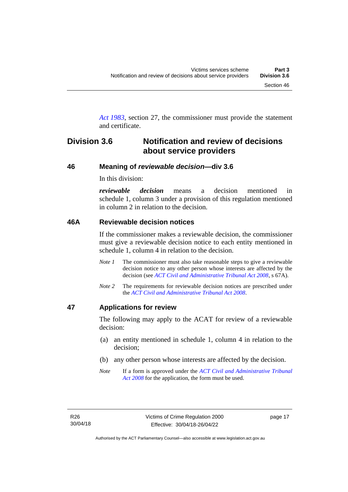*Act [1983](http://www.legislation.act.gov.au/a/1983-11)*, section 27, the commissioner must provide the statement and certificate.

## <span id="page-22-0"></span>**Division 3.6 Notification and review of decisions about service providers**

### <span id="page-22-1"></span>**46 Meaning of** *reviewable decision—***div 3.6**

In this division:

*reviewable decision* means a decision mentioned in schedule 1, column 3 under a provision of this regulation mentioned in column 2 in relation to the decision.

### <span id="page-22-2"></span>**46A Reviewable decision notices**

If the commissioner makes a reviewable decision, the commissioner must give a reviewable decision notice to each entity mentioned in schedule 1, column 4 in relation to the decision.

- *Note 1* The commissioner must also take reasonable steps to give a reviewable decision notice to any other person whose interests are affected by the decision (see *[ACT Civil and Administrative Tribunal Act 2008](http://www.legislation.act.gov.au/a/2008-35)*, s 67A).
- *Note 2* The requirements for reviewable decision notices are prescribed under the *[ACT Civil and Administrative Tribunal Act 2008](http://www.legislation.act.gov.au/a/2008-35)*.

### <span id="page-22-3"></span>**47 Applications for review**

The following may apply to the ACAT for review of a reviewable decision:

- (a) an entity mentioned in schedule 1, column 4 in relation to the decision;
- (b) any other person whose interests are affected by the decision.
- *Note* If a form is approved under the *[ACT Civil and Administrative Tribunal](http://www.legislation.act.gov.au/a/2008-35)  [Act 2008](http://www.legislation.act.gov.au/a/2008-35)* for the application, the form must be used.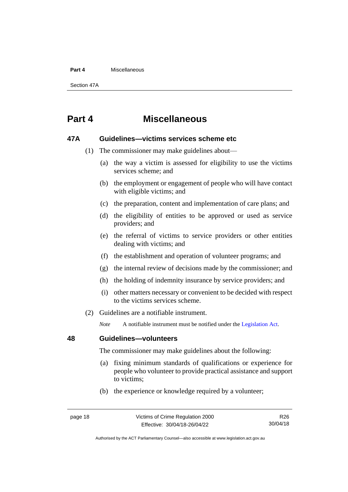#### **Part 4** Miscellaneous

Section 47A

# <span id="page-23-0"></span>**Part 4 Miscellaneous**

### <span id="page-23-1"></span>**47A Guidelines—victims services scheme etc**

- (1) The commissioner may make guidelines about—
	- (a) the way a victim is assessed for eligibility to use the victims services scheme; and
	- (b) the employment or engagement of people who will have contact with eligible victims; and
	- (c) the preparation, content and implementation of care plans; and
	- (d) the eligibility of entities to be approved or used as service providers; and
	- (e) the referral of victims to service providers or other entities dealing with victims; and
	- (f) the establishment and operation of volunteer programs; and
	- (g) the internal review of decisions made by the commissioner; and
	- (h) the holding of indemnity insurance by service providers; and
	- (i) other matters necessary or convenient to be decided with respect to the victims services scheme.
- (2) Guidelines are a notifiable instrument.

*Note* A notifiable instrument must be notified under the [Legislation Act.](http://www.legislation.act.gov.au/a/2001-14)

### <span id="page-23-2"></span>**48 Guidelines—volunteers**

The commissioner may make guidelines about the following:

- (a) fixing minimum standards of qualifications or experience for people who volunteer to provide practical assistance and support to victims;
- (b) the experience or knowledge required by a volunteer;

Authorised by the ACT Parliamentary Counsel—also accessible at www.legislation.act.gov.au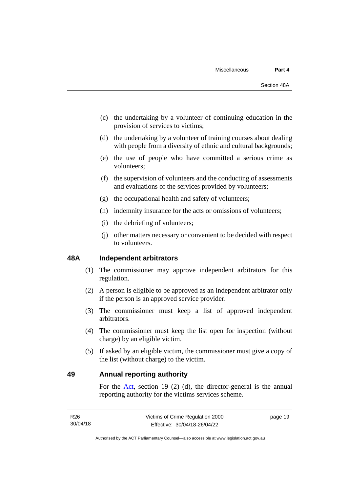- (c) the undertaking by a volunteer of continuing education in the provision of services to victims;
- (d) the undertaking by a volunteer of training courses about dealing with people from a diversity of ethnic and cultural backgrounds;
- (e) the use of people who have committed a serious crime as volunteers;
- (f) the supervision of volunteers and the conducting of assessments and evaluations of the services provided by volunteers;
- (g) the occupational health and safety of volunteers;
- (h) indemnity insurance for the acts or omissions of volunteers;
- (i) the debriefing of volunteers;
- (j) other matters necessary or convenient to be decided with respect to volunteers.

### <span id="page-24-0"></span>**48A Independent arbitrators**

- (1) The commissioner may approve independent arbitrators for this regulation.
- (2) A person is eligible to be approved as an independent arbitrator only if the person is an approved service provider.
- (3) The commissioner must keep a list of approved independent arbitrators.
- (4) The commissioner must keep the list open for inspection (without charge) by an eligible victim.
- (5) If asked by an eligible victim, the commissioner must give a copy of the list (without charge) to the victim.

### <span id="page-24-1"></span>**49 Annual reporting authority**

For the [Act,](http://www.legislation.act.gov.au/a/1994-83/default.asp) section 19 (2) (d), the director-general is the annual reporting authority for the victims services scheme.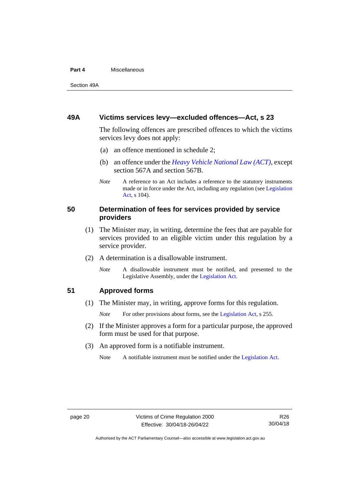#### **Part 4** Miscellaneous

Section 49A

### <span id="page-25-0"></span>**49A Victims services levy—excluded offences—Act, s 23**

The following offences are prescribed offences to which the victims services levy does not apply:

- (a) an offence mentioned in schedule 2;
- (b) an offence under the *[Heavy Vehicle National Law \(ACT\)](http://www.legislation.act.gov.au/a/db_49155/default.asp)*, except section 567A and section 567B.
- *Note* A reference to an Act includes a reference to the statutory instruments made or in force under the Act, including any regulation (se[e Legislation](http://www.legislation.act.gov.au/a/2001-14)  [Act,](http://www.legislation.act.gov.au/a/2001-14) s 104).

### <span id="page-25-1"></span>**50 Determination of fees for services provided by service providers**

- (1) The Minister may, in writing, determine the fees that are payable for services provided to an eligible victim under this regulation by a service provider.
- (2) A determination is a disallowable instrument.
	- *Note* A disallowable instrument must be notified, and presented to the Legislative Assembly, under the [Legislation Act.](http://www.legislation.act.gov.au/a/2001-14)

### <span id="page-25-2"></span>**51 Approved forms**

(1) The Minister may, in writing, approve forms for this regulation.

*Note* For other provisions about forms, see the [Legislation Act,](http://www.legislation.act.gov.au/a/2001-14) s 255.

- (2) If the Minister approves a form for a particular purpose, the approved form must be used for that purpose.
- (3) An approved form is a notifiable instrument.
	- Note A notifiable instrument must be notified under the [Legislation Act.](http://www.legislation.act.gov.au/a/2001-14)

Authorised by the ACT Parliamentary Counsel—also accessible at www.legislation.act.gov.au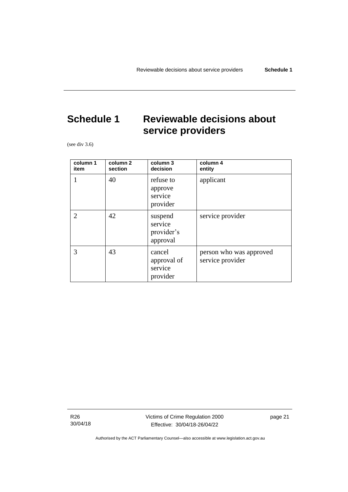# <span id="page-26-0"></span>**Schedule 1 Reviewable decisions about service providers**

(see div 3.6)

| column 1<br>item            | column <sub>2</sub><br>section | column 3<br>decision                         | column 4<br>entity                          |
|-----------------------------|--------------------------------|----------------------------------------------|---------------------------------------------|
| 1                           | 40                             | refuse to<br>approve<br>service<br>provider  | applicant                                   |
| $\mathcal{D}_{\mathcal{L}}$ | 42                             | suspend<br>service<br>provider's<br>approval | service provider                            |
| 3                           | 43                             | cancel<br>approval of<br>service<br>provider | person who was approved<br>service provider |

R26 30/04/18 Victims of Crime Regulation 2000 Effective: 30/04/18-26/04/22

page 21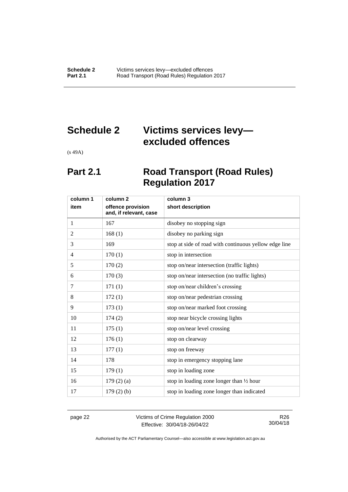# <span id="page-27-0"></span>**Schedule 2 Victims services levy excluded offences**

<span id="page-27-1"></span>(s 49A)

# **Part 2.1 Road Transport (Road Rules) Regulation 2017**

| column 1       | column 2                                    | column 3                                              |
|----------------|---------------------------------------------|-------------------------------------------------------|
| item           | offence provision<br>and, if relevant, case | short description                                     |
| 1              | 167                                         | disobey no stopping sign                              |
| 2              | 168(1)                                      | disobey no parking sign                               |
| 3              | 169                                         | stop at side of road with continuous yellow edge line |
| $\overline{4}$ | 170(1)                                      | stop in intersection                                  |
| 5              | 170(2)                                      | stop on/near intersection (traffic lights)            |
| 6              | 170(3)                                      | stop on/near intersection (no traffic lights)         |
| 7              | 171(1)                                      | stop on/near children's crossing                      |
| 8              | 172(1)                                      | stop on/near pedestrian crossing                      |
| 9              | 173(1)                                      | stop on/near marked foot crossing                     |
| 10             | 174(2)                                      | stop near bicycle crossing lights                     |
| 11             | 175(1)                                      | stop on/near level crossing                           |
| 12             | 176(1)                                      | stop on clearway                                      |
| 13             | 177(1)                                      | stop on freeway                                       |
| 14             | 178                                         | stop in emergency stopping lane                       |
| 15             | 179(1)                                      | stop in loading zone                                  |
| 16             | 179(2)(a)                                   | stop in loading zone longer than 1/2 hour             |
| 17             | $179(2)$ (b)                                | stop in loading zone longer than indicated            |

page 22 Victims of Crime Regulation 2000 Effective: 30/04/18-26/04/22

R26 30/04/18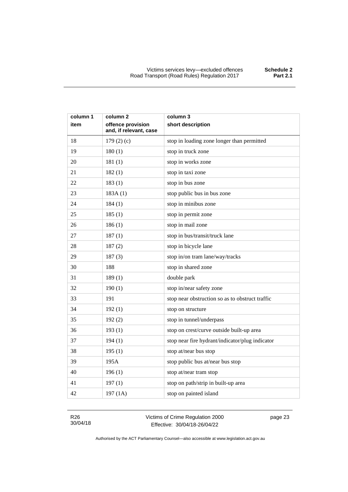| column 1 | column 2                                    | column 3                                        |
|----------|---------------------------------------------|-------------------------------------------------|
| item     | offence provision<br>and, if relevant, case | short description                               |
| 18       | 179 $(2)(c)$                                | stop in loading zone longer than permitted      |
| 19       | 180(1)                                      | stop in truck zone                              |
| 20       | 181(1)                                      | stop in works zone                              |
| 21       | 182(1)                                      | stop in taxi zone                               |
| 22       | 183(1)                                      | stop in bus zone                                |
| 23       | 183A(1)                                     | stop public bus in bus zone                     |
| 24       | 184(1)                                      | stop in minibus zone                            |
| 25       | 185(1)                                      | stop in permit zone                             |
| 26       | 186(1)                                      | stop in mail zone                               |
| 27       | 187(1)                                      | stop in bus/transit/truck lane                  |
| 28       | 187(2)                                      | stop in bicycle lane                            |
| 29       | 187(3)                                      | stop in/on tram lane/way/tracks                 |
| 30       | 188                                         | stop in shared zone                             |
| 31       | 189(1)                                      | double park                                     |
| 32       | 190(1)                                      | stop in/near safety zone                        |
| 33       | 191                                         | stop near obstruction so as to obstruct traffic |
| 34       | 192(1)                                      | stop on structure                               |
| 35       | 192(2)                                      | stop in tunnel/underpass                        |
| 36       | 193(1)                                      | stop on crest/curve outside built-up area       |
| 37       | 194(1)                                      | stop near fire hydrant/indicator/plug indicator |
| 38       | 195(1)                                      | stop at/near bus stop                           |
| 39       | 195A                                        | stop public bus at/near bus stop                |
| 40       | 196(1)                                      | stop at/near tram stop                          |
| 41       | 197(1)                                      | stop on path/strip in built-up area             |
| 42       | 197 (1A)                                    | stop on painted island                          |

R26 30/04/18 Victims of Crime Regulation 2000 Effective: 30/04/18-26/04/22

page 23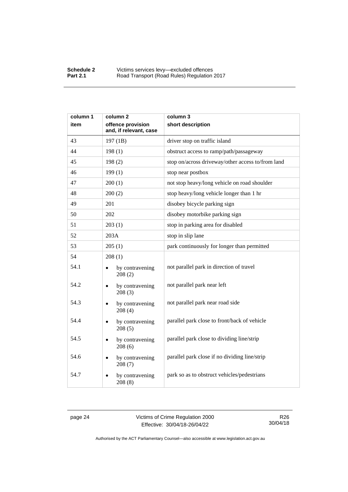| column 1 | column <sub>2</sub>                         | column 3                                          |
|----------|---------------------------------------------|---------------------------------------------------|
| item     | offence provision<br>and, if relevant, case | short description                                 |
| 43       | 197 (1B)                                    | driver stop on traffic island                     |
| 44       | 198(1)                                      | obstruct access to ramp/path/passageway           |
| 45       | 198(2)                                      | stop on/across driveway/other access to/from land |
| 46       | 199(1)                                      | stop near postbox                                 |
| 47       | 200(1)                                      | not stop heavy/long vehicle on road shoulder      |
| 48       | 200(2)                                      | stop heavy/long vehicle longer than 1 hr          |
| 49       | 201                                         | disobey bicycle parking sign                      |
| 50       | 202                                         | disobey motorbike parking sign                    |
| 51       | 203(1)                                      | stop in parking area for disabled                 |
| 52       | 203A                                        | stop in slip lane                                 |
| 53       | 205(1)                                      | park continuously for longer than permitted       |
| 54       | 208(1)                                      |                                                   |
| 54.1     | by contravening<br>208(2)                   | not parallel park in direction of travel          |
| 54.2     | by contravening<br>208(3)                   | not parallel park near left                       |
| 54.3     | by contravening<br>208(4)                   | not parallel park near road side                  |
| 54.4     | by contravening<br>$\bullet$<br>208(5)      | parallel park close to front/back of vehicle      |
| 54.5     | by contravening<br>208(6)                   | parallel park close to dividing line/strip        |
| 54.6     | by contravening<br>208(7)                   | parallel park close if no dividing line/strip     |
| 54.7     | by contravening<br>208(8)                   | park so as to obstruct vehicles/pedestrians       |

page 24 Victims of Crime Regulation 2000 Effective: 30/04/18-26/04/22

R26 30/04/18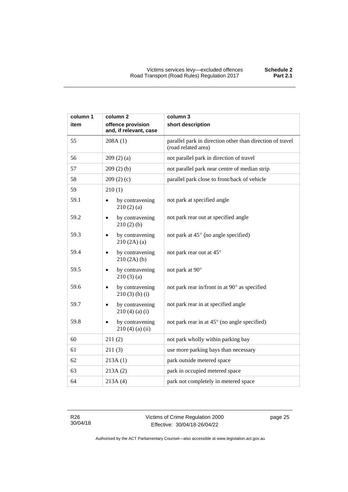| column 1 | column 2                                    | column 3                                                                         |
|----------|---------------------------------------------|----------------------------------------------------------------------------------|
| item     | offence provision<br>and, if relevant, case | short description                                                                |
| 55       | 208A(1)                                     | parallel park in direction other than direction of travel<br>(road related area) |
| 56       | 209(2)(a)                                   | not parallel park in direction of travel                                         |
| 57       | 209(2)(b)                                   | not parallel park near centre of median strip                                    |
| 58       | 209(2)(c)                                   | parallel park close to front/back of vehicle                                     |
| 59       | 210(1)                                      |                                                                                  |
| 59.1     | by contravening<br>210(2)(a)                | not park at specified angle                                                      |
| 59.2     | by contravening<br>210(2)(b)                | not park rear out at specified angle                                             |
| 59.3     | by contravening<br>210(2A)(a)               | not park at 45° (no angle specified)                                             |
| 59.4     | by contravening<br>$\bullet$<br>210(2A)(b)  | not park rear out at 45°                                                         |
| 59.5     | by contravening<br>210(3)(a)                | not park at 90°                                                                  |
| 59.6     | by contravening<br>$210(3)$ (b) (i)         | not park rear in/front in at 90° as specified                                    |
| 59.7     | by contravening<br>$210(4)$ (a) (i)         | not park rear in at specified angle                                              |
| 59.8     | by contravening<br>$210(4)$ (a) (ii)        | not park rear in at 45° (no angle specified)                                     |
| 60       | 211(2)                                      | not park wholly within parking bay                                               |
| 61       | 211(3)                                      | use more parking bays than necessary                                             |
| 62       | 213A(1)                                     | park outside metered space                                                       |
| 63       | 213A(2)                                     | park in occupied metered space                                                   |
| 64       | 213A(4)                                     | park not completely in metered space                                             |

R26 30/04/18 Victims of Crime Regulation 2000 Effective: 30/04/18-26/04/22

page 25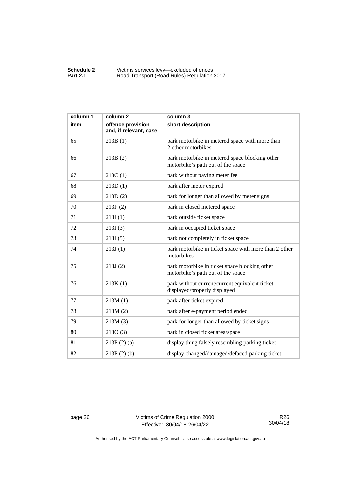| column 1 | column <sub>2</sub>                         | column 3                                                                            |
|----------|---------------------------------------------|-------------------------------------------------------------------------------------|
| item     | offence provision<br>and, if relevant, case | short description                                                                   |
| 65       | 213B(1)                                     | park motorbike in metered space with more than<br>2 other motorbikes                |
| 66       | 213B(2)                                     | park motorbike in metered space blocking other<br>motorbike's path out of the space |
| 67       | 213C(1)                                     | park without paying meter fee                                                       |
| 68       | 213D(1)                                     | park after meter expired                                                            |
| 69       | 213D(2)                                     | park for longer than allowed by meter signs                                         |
| 70       | 213F(2)                                     | park in closed metered space                                                        |
| 71       | 213I(1)                                     | park outside ticket space                                                           |
| 72       | 213I(3)                                     | park in occupied ticket space                                                       |
| 73       | 213I(5)                                     | park not completely in ticket space                                                 |
| 74       | 213J(1)                                     | park motorbike in ticket space with more than 2 other<br>motorbikes                 |
| 75       | 213J(2)                                     | park motorbike in ticket space blocking other<br>motorbike's path out of the space  |
| 76       | 213K(1)                                     | park without current/current equivalent ticket<br>displayed/properly displayed      |
| 77       | 213M(1)                                     | park after ticket expired                                                           |
| 78       | 213M(2)                                     | park after e-payment period ended                                                   |
| 79       | 213M(3)                                     | park for longer than allowed by ticket signs                                        |
| 80       | 213O(3)                                     | park in closed ticket area/space                                                    |
| 81       | $213P(2)$ (a)                               | display thing falsely resembling parking ticket                                     |
| 82       | $213P(2)$ (b)                               | display changed/damaged/defaced parking ticket                                      |

page 26 Victims of Crime Regulation 2000 Effective: 30/04/18-26/04/22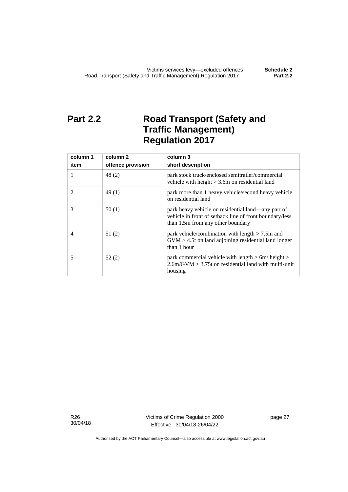# <span id="page-32-0"></span>**Part 2.2 Road Transport (Safety and Traffic Management) Regulation 2017**

| column 1<br>item | column 2<br>offence provision | column 3<br>short description                                                                                                                      |
|------------------|-------------------------------|----------------------------------------------------------------------------------------------------------------------------------------------------|
|                  | 48(2)                         | park stock truck/enclosed semitrailer/commercial<br>vehicle with height $> 3.6$ m on residential land                                              |
| 2                | 49(1)                         | park more than 1 heavy vehicle/second heavy vehicle<br>on residential land                                                                         |
| 3                | 50(1)                         | park heavy vehicle on residential land—any part of<br>vehicle in front of setback line of front boundary/less<br>than 1.5m from any other boundary |
| 4                | 51(2)                         | park vehicle/combination with length $> 7.5$ m and<br>$GVM > 4.5t$ on land adjoining residential land longer<br>than 1 hour                        |
| 5                | 52(2)                         | park commercial vehicle with length $> 6m/h$ eight $>$<br>$2.6$ m/GVM $> 3.75$ t on residential land with multi-unit<br>housing                    |

R26 30/04/18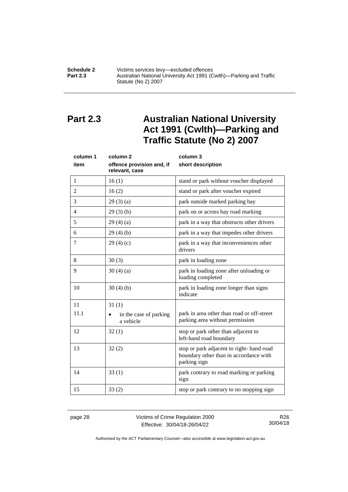#### **Schedule 2** Victims services levy—excluded offences<br>**Part 2.3** Australian National University Act 1991 (C **Part 2.3** Australian National University Act 1991 (Cwlth)—Parking and Traffic Statute (No 2) 2007

# <span id="page-33-0"></span>**Part 2.3 Australian National University Act 1991 (Cwlth)—Parking and Traffic Statute (No 2) 2007**

| column 1<br>item | column <sub>2</sub><br>offence provision and, if | column 3<br>short description                                                                      |
|------------------|--------------------------------------------------|----------------------------------------------------------------------------------------------------|
|                  | relevant, case                                   |                                                                                                    |
| 1                | 16(1)                                            | stand or park without voucher displayed                                                            |
| $\overline{2}$   | 16(2)                                            | stand or park after voucher expired                                                                |
| 3                | 29(3)(a)                                         | park outside marked parking bay                                                                    |
| $\overline{4}$   | 29(3)(b)                                         | park on or across bay road marking                                                                 |
| 5                | 29(4)(a)                                         | park in a way that obstructs other drivers                                                         |
| 6                | 29(4)(b)                                         | park in a way that impedes other drivers                                                           |
| 7                | 29(4)(c)                                         | park in a way that inconveniences other<br>drivers                                                 |
| 8                | 30(3)                                            | park in loading zone                                                                               |
| 9                | 30(4)(a)                                         | park in loading zone after unloading or<br>loading completed                                       |
| 10               | 30(4)(b)                                         | park in loading zone longer than signs<br>indicate                                                 |
| 11               | 31(1)                                            |                                                                                                    |
| 11.1             | in the case of parking<br>a vehicle              | park in area other than road or off-street<br>parking area without permission                      |
| 12               | 32(1)                                            | stop or park other than adjacent to<br>left-hand road boundary                                     |
| 13               | 32(2)                                            | stop or park adjacent to right-hand road<br>boundary other than in accordance with<br>parking sign |
| 14               | 33(1)                                            | park contrary to road marking or parking<br>sign                                                   |
| 15               | 33(2)                                            | stop or park contrary to no stopping sign                                                          |

page 28 Victims of Crime Regulation 2000 Effective: 30/04/18-26/04/22

R26 30/04/18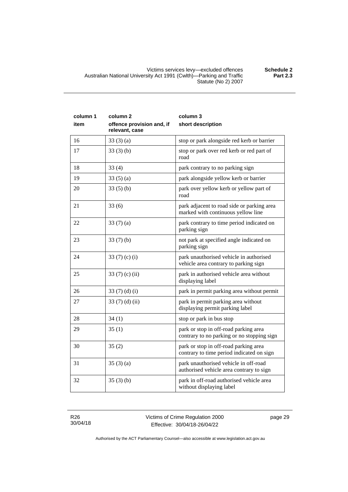| column 1<br>item | column <sub>2</sub><br>offence provision and, if<br>relevant, case | column 3<br>short description                                                       |
|------------------|--------------------------------------------------------------------|-------------------------------------------------------------------------------------|
| 16               | 33(3)(a)                                                           | stop or park alongside red kerb or barrier                                          |
| 17               | 33(3)(b)                                                           | stop or park over red kerb or red part of<br>road                                   |
| 18               | 33(4)                                                              | park contrary to no parking sign                                                    |
| 19               | 33(5)(a)                                                           | park alongside yellow kerb or barrier                                               |
| 20               | 33(5)(b)                                                           | park over yellow kerb or yellow part of<br>road                                     |
| 21               | 33(6)                                                              | park adjacent to road side or parking area<br>marked with continuous yellow line    |
| 22               | 33(7)(a)                                                           | park contrary to time period indicated on<br>parking sign                           |
| 23               | 33(7)(b)                                                           | not park at specified angle indicated on<br>parking sign                            |
| 24               | 33 (7) (c) (i)                                                     | park unauthorised vehicle in authorised<br>vehicle area contrary to parking sign    |
| 25               | 33 (7) (c) (ii)                                                    | park in authorised vehicle area without<br>displaying label                         |
| 26               | 33 $(7)$ $(d)$ $(i)$                                               | park in permit parking area without permit                                          |
| 27               | 33 $(7)$ $(d)$ $(ii)$                                              | park in permit parking area without<br>displaying permit parking label              |
| 28               | 34(1)                                                              | stop or park in bus stop                                                            |
| 29               | 35(1)                                                              | park or stop in off-road parking area<br>contrary to no parking or no stopping sign |
| 30               | 35(2)                                                              | park or stop in off-road parking area<br>contrary to time period indicated on sign  |
| 31               | 35(3)(a)                                                           | park unauthorised vehicle in off-road<br>authorised vehicle area contrary to sign   |
| 32               | 35(3)(b)                                                           | park in off-road authorised vehicle area                                            |

R26 30/04/18 without displaying label

page 29

Authorised by the ACT Parliamentary Counsel—also accessible at www.legislation.act.gov.au

**Part 2.3**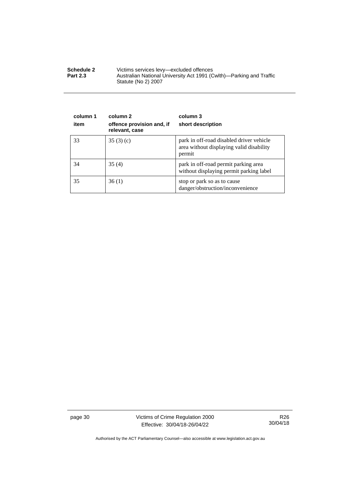| <b>Schedule 2</b> | Victims services levy—excluded offences                                                    |
|-------------------|--------------------------------------------------------------------------------------------|
| <b>Part 2.3</b>   | Australian National University Act 1991 (Cwlth)—Parking and Traffic<br>Statute (No 2) 2007 |

| column 1<br>item | column 2<br>offence provision and, if<br>relevant, case | column 3<br>short description                                                                  |
|------------------|---------------------------------------------------------|------------------------------------------------------------------------------------------------|
| 33               | 35(3)(c)                                                | park in off-road disabled driver vehicle<br>area without displaying valid disability<br>permit |
| 34               | 35(4)                                                   | park in off-road permit parking area<br>without displaying permit parking label                |
| 35               | 36(1)                                                   | stop or park so as to cause<br>danger/obstruction/inconvenience                                |

page 30 Victims of Crime Regulation 2000 Effective: 30/04/18-26/04/22

R26 30/04/18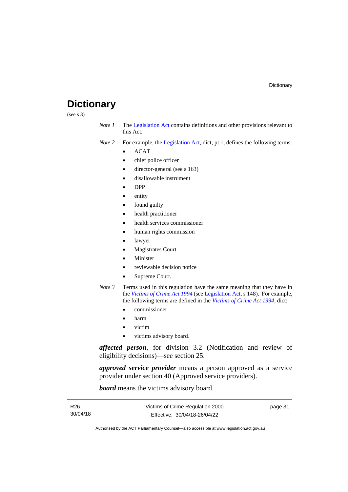# <span id="page-36-0"></span>**Dictionary**

(see s 3)

*Note 1* The [Legislation Act](http://www.legislation.act.gov.au/a/2001-14) contains definitions and other provisions relevant to this Act.

*Note 2* For example, the [Legislation Act,](http://www.legislation.act.gov.au/a/2001-14) dict, pt 1, defines the following terms:

- ACAT
- chief police officer
- director-general (see s 163)
- disallowable instrument
- DPP
- entity
- found guilty
- health practitioner
- health services commissioner
- human rights commission
- lawyer
- **Magistrates Court**
- **Minister**
- reviewable decision notice
- Supreme Court.
- *Note 3* Terms used in this regulation have the same meaning that they have in the *[Victims of Crime Act 1994](http://www.legislation.act.gov.au/a/1994-83)* (see [Legislation Act,](http://www.legislation.act.gov.au/a/2001-14) s 148). For example, the following terms are defined in the *[Victims of Crime Act 1994](http://www.legislation.act.gov.au/a/1994-83)*, dict:
	- commissioner
	- harm
	- victim
	- victims advisory board.

*affected person*, for division 3.2 (Notification and review of eligibility decisions)—see section 25.

*approved service provider* means a person approved as a service provider under section 40 (Approved service providers).

*board* means the victims advisory board.

| R26      |
|----------|
| 30/04/18 |

page 31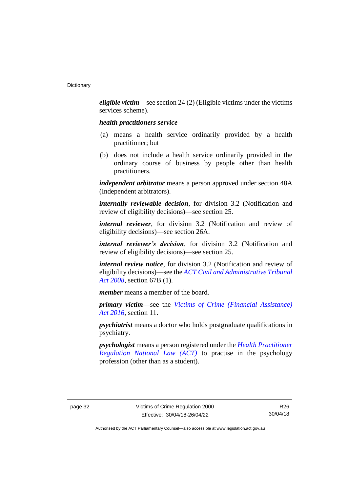*eligible victim*—see section 24 (2) (Eligible victims under the victims services scheme).

#### *health practitioners service*—

- (a) means a health service ordinarily provided by a health practitioner; but
- (b) does not include a health service ordinarily provided in the ordinary course of business by people other than health practitioners.

*independent arbitrator* means a person approved under section 48A (Independent arbitrators).

*internally reviewable decision*, for division 3.2 (Notification and review of eligibility decisions)—see section 25.

*internal reviewer*, for division 3.2 (Notification and review of eligibility decisions)—see section 26A.

*internal reviewer's decision*, for division 3.2 (Notification and review of eligibility decisions)—see section 25.

*internal review notice*, for division 3.2 (Notification and review of eligibility decisions)—see the *[ACT Civil and Administrative Tribunal](http://www.legislation.act.gov.au/a/2008-35)  [Act 2008](http://www.legislation.act.gov.au/a/2008-35)*, section 67B (1).

*member* means a member of the board.

*primary victim*—see the *[Victims of Crime \(Financial Assistance\)](http://www.legislation.act.gov.au/a/2016-12/default.asp)  Act [2016](http://www.legislation.act.gov.au/a/2016-12/default.asp)*, section 11.

*psychiatrist* means a doctor who holds postgraduate qualifications in psychiatry.

*psychologist* means a person registered under the *[Health Practitioner](http://www.legislation.act.gov.au/a/db_39269/default.asp)  [Regulation National Law \(ACT\)](http://www.legislation.act.gov.au/a/db_39269/default.asp)* to practise in the psychology profession (other than as a student).

R26 30/04/18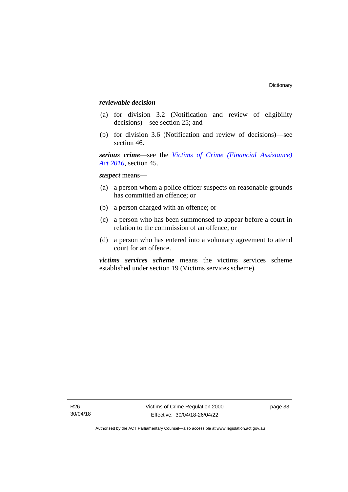### *reviewable decision—*

- (a) for division 3.2 (Notification and review of eligibility decisions)—see section 25; and
- (b) for division 3.6 (Notification and review of decisions)—see section 46.

*serious crime*—see the *[Victims of Crime \(Financial Assistance\)](http://www.legislation.act.gov.au/a/2016-12/default.asp)  Act [2016](http://www.legislation.act.gov.au/a/2016-12/default.asp)*, section 45.

*suspect* means—

- (a) a person whom a police officer suspects on reasonable grounds has committed an offence; or
- (b) a person charged with an offence; or
- (c) a person who has been summonsed to appear before a court in relation to the commission of an offence; or
- (d) a person who has entered into a voluntary agreement to attend court for an offence.

*victims services scheme* means the victims services scheme established under section 19 (Victims services scheme).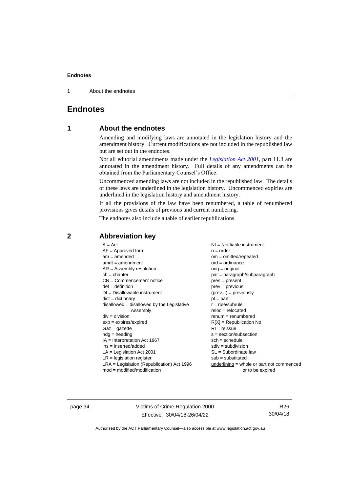1 About the endnotes

### <span id="page-39-1"></span><span id="page-39-0"></span>**Endnotes**

### **1 About the endnotes**

Amending and modifying laws are annotated in the legislation history and the amendment history. Current modifications are not included in the republished law but are set out in the endnotes.

Not all editorial amendments made under the *[Legislation Act 2001](http://www.legislation.act.gov.au/a/2001-14)*, part 11.3 are annotated in the amendment history. Full details of any amendments can be obtained from the Parliamentary Counsel's Office.

Uncommenced amending laws are not included in the republished law. The details of these laws are underlined in the legislation history. Uncommenced expiries are underlined in the legislation history and amendment history.

If all the provisions of the law have been renumbered, a table of renumbered provisions gives details of previous and current numbering.

The endnotes also include a table of earlier republications.

| $A = Act$                                    | $NI =$ Notifiable instrument              |
|----------------------------------------------|-------------------------------------------|
| $AF =$ Approved form                         | $o = order$                               |
| $am = amended$                               | $om = omitted/repealed$                   |
| $amdt = amendment$                           | $ord = ordinance$                         |
| $AR = Assembly resolution$                   | $orig = original$                         |
| $ch = chapter$                               | par = paragraph/subparagraph              |
| $CN =$ Commencement notice                   | $pres = present$                          |
| $def = definition$                           | $prev = previous$                         |
| $DI = Disallowable instrument$               | $(\text{prev}) = \text{previously}$       |
| $dict = dictionary$                          | $pt = part$                               |
| $disallowed = disallowed by the Legislative$ | $r = rule/subrule$                        |
| Assembly                                     | $reloc = relocated$                       |
| $div = division$                             | $renum = renumbered$                      |
| $exp = expires/expired$                      | $R[X]$ = Republication No                 |
| $Gaz = gazette$                              | $RI = reissue$                            |
| $hdg =$ heading                              | $s = section/subsection$                  |
| $IA = Interpretation Act 1967$               | $sch = schedule$                          |
| $ins = inserted/added$                       | $sdiv = subdivision$                      |
| $LA =$ Legislation Act 2001                  | $SL = Subordinate$ law                    |
| $LR =$ legislation register                  | $sub =$ substituted                       |
| $LRA =$ Legislation (Republication) Act 1996 | underlining = whole or part not commenced |
| $mod = modified/modification$                | or to be expired                          |
|                                              |                                           |

### <span id="page-39-2"></span>**2 Abbreviation key**

page 34 Victims of Crime Regulation 2000 Effective: 30/04/18-26/04/22

R26 30/04/18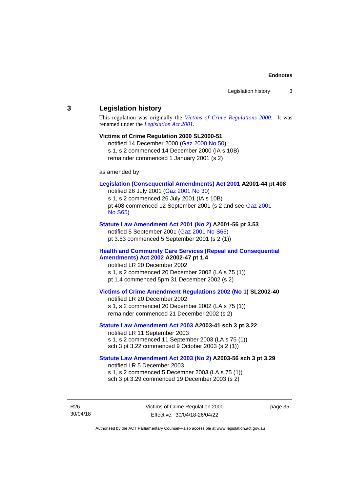#### <span id="page-40-0"></span>**3 Legislation history**

This regulation was originally the *[Victims of Crime Regulations 2000](http://www.legislation.act.gov.au/sl/2000-51)*. It was renamed under the *[Legislation Act 2001](http://www.legislation.act.gov.au/a/2001-14)*.

#### **Victims of Crime Regulation 2000 SL2000-51**

notified 14 December 2000 [\(Gaz 2000 No 50\)](http://www.legislation.act.gov.au/gaz/2000-50/default.asp) s 1, s 2 commenced 14 December 2000 (IA s 10B) remainder commenced 1 January 2001 (s 2)

as amended by

### **[Legislation \(Consequential Amendments\) Act 2001](http://www.legislation.act.gov.au/a/2001-44) A2001-44 pt 408**

notified 26 July 2001 [\(Gaz 2001](http://www.legislation.act.gov.au/gaz/2001-30/default.asp) No 30) s 1, s 2 commenced 26 July 2001 (IA s 10B) pt 408 commenced 12 September 2001 (s 2 and see [Gaz 2001](http://www.legislation.act.gov.au/gaz/2001-S65/default.asp)  No [S65\)](http://www.legislation.act.gov.au/gaz/2001-S65/default.asp)

#### **[Statute Law Amendment Act 2001 \(No 2\)](http://www.legislation.act.gov.au/a/2001-56) A2001-56 pt 3.53**

notified 5 September 2001 [\(Gaz 2001 No S65\)](http://www.legislation.act.gov.au/gaz/2001-S65/default.asp) pt 3.53 commenced 5 September 2001 (s 2 (1))

### **[Health and Community Care Services \(Repeal and Consequential](http://www.legislation.act.gov.au/a/2002-47)  [Amendments\) Act 2002](http://www.legislation.act.gov.au/a/2002-47) A2002-47 pt 1.4**

notified LR 20 December 2002 s 1, s 2 commenced 20 December 2002 (LA s 75 (1)) pt 1.4 commenced 5pm 31 December 2002 (s 2)

#### **[Victims of Crime Amendment Regulations 2002 \(No 1\)](http://www.legislation.act.gov.au/sl/2002-40) SL2002-40**

notified LR 20 December 2002 s 1, s 2 commenced 20 December 2002 (LA s 75 (1)) remainder commenced 21 December 2002 (s 2)

#### **[Statute Law Amendment Act 2003](http://www.legislation.act.gov.au/a/2003-41) A2003-41 sch 3 pt 3.22**

notified LR 11 September 2003 s 1, s 2 commenced 11 September 2003 (LA s 75 (1)) sch 3 pt 3.22 commenced 9 October 2003 (s 2 (1))

### **[Statute Law Amendment Act 2003 \(No 2\)](http://www.legislation.act.gov.au/a/2003-56) A2003-56 sch 3 pt 3.29** notified LR 5 December 2003

s 1, s 2 commenced 5 December 2003 (LA s 75 (1)) sch 3 pt 3.29 commenced 19 December 2003 (s 2)

R26 30/04/18 Victims of Crime Regulation 2000 Effective: 30/04/18-26/04/22

page 35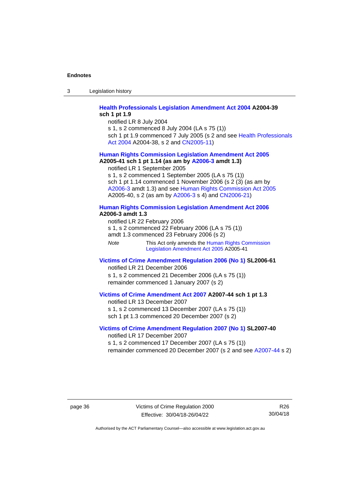3 Legislation history

#### **[Health Professionals Legislation Amendment Act 2004](http://www.legislation.act.gov.au/a/2004-39) A2004-39 sch 1 pt 1.9**

notified LR 8 July 2004

s 1, s 2 commenced 8 July 2004 (LA s 75 (1))

sch 1 pt 1.9 commenced 7 July 2005 (s 2 and see Health Professionals [Act 2004](http://www.legislation.act.gov.au/a/2004-38) A2004-38, s 2 and [CN2005-11\)](http://www.legislation.act.gov.au/cn/2005-11/default.asp)

## **[Human Rights Commission Legislation Amendment Act](http://www.legislation.act.gov.au/a/2005-41) 2005**

**A2005-41 sch 1 pt 1.14 (as am by [A2006-3](http://www.legislation.act.gov.au/a/2006-3) amdt 1.3)** notified LR 1 September 2005

s 1, s 2 commenced 1 September 2005 (LA s 75 (1)) sch 1 pt 1.14 commenced 1 November 2006 (s 2 (3) (as am by [A2006-3](http://www.legislation.act.gov.au/a/2006-3) amdt 1.3) and see [Human Rights Commission Act 2005](http://www.legislation.act.gov.au/a/2005-40) A2005-40, s 2 (as am by [A2006-3](http://www.legislation.act.gov.au/a/2006-3) s 4) and [CN2006-21\)](http://www.legislation.act.gov.au/cn/2006-21/default.asp)

### **[Human Rights Commission Legislation Amendment Act 2006](http://www.legislation.act.gov.au/a/2006-3) A2006-3 amdt 1.3**

notified LR 22 February 2006 s 1, s 2 commenced 22 February 2006 (LA s 75 (1)) amdt 1.3 commenced 23 February 2006 (s 2)

*Note* This Act only amends the Human Rights Commission [Legislation Amendment Act](http://www.legislation.act.gov.au/a/2005-41) 2005 A2005-41

### **[Victims of Crime Amendment Regulation](http://www.legislation.act.gov.au/sl/2006-61) 2006 (No 1) SL2006-61** notified LR 21 December 2006

s 1, s 2 commenced 21 December 2006 (LA s 75 (1)) remainder commenced 1 January 2007 (s 2)

### **[Victims of Crime Amendment Act 2007](http://www.legislation.act.gov.au/a/2007-44) A2007-44 sch 1 pt 1.3**

notified LR 13 December 2007 s 1, s 2 commenced 13 December 2007 (LA s 75 (1)) sch 1 pt 1.3 commenced 20 December 2007 (s 2)

#### **[Victims of Crime Amendment Regulation](http://www.legislation.act.gov.au/sl/2007-40) 2007 (No 1) SL2007-40** notified LR 17 December 2007

s 1, s 2 commenced 17 December 2007 (LA s 75 (1))

remainder commenced 20 December 2007 (s 2 and see [A2007-44](http://www.legislation.act.gov.au/a/2007-44) s 2)

page 36 Victims of Crime Regulation 2000 Effective: 30/04/18-26/04/22

R26 30/04/18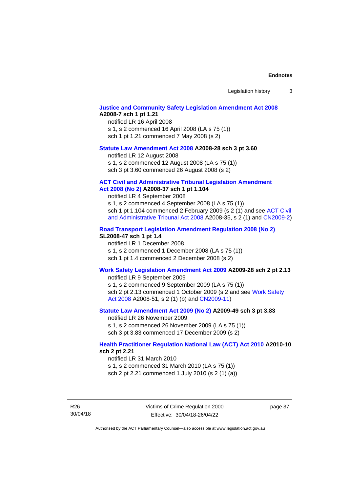Legislation history 3

#### **[Justice and Community Safety Legislation Amendment Act 2008](http://www.legislation.act.gov.au/a/2008-7) A2008-7 sch 1 pt 1.21**

notified LR 16 April 2008 s 1, s 2 commenced 16 April 2008 (LA s 75 (1)) sch 1 pt 1.21 commenced 7 May 2008 (s 2)

#### **[Statute Law Amendment Act 2008](http://www.legislation.act.gov.au/a/2008-28) A2008-28 sch 3 pt 3.60**

notified LR 12 August 2008 s 1, s 2 commenced 12 August 2008 (LA s 75 (1)) sch 3 pt 3.60 commenced 26 August 2008 (s 2)

#### **ACT Civil and [Administrative Tribunal Legislation Amendment](http://www.legislation.act.gov.au/a/2008-37)**

### **Act [2008 \(No](http://www.legislation.act.gov.au/a/2008-37) 2) A2008-37 sch 1 pt 1.104**

notified LR 4 September 2008

s 1, s 2 commenced 4 September 2008 (LA s 75 (1)) sch 1 pt 1.104 commenced 2 February 2009 (s 2 (1) and see [ACT Civil](http://www.legislation.act.gov.au/a/2008-35)  [and Administrative Tribunal Act 2008](http://www.legislation.act.gov.au/a/2008-35) A2008-35, s 2 (1) and [CN2009-2\)](http://www.legislation.act.gov.au/cn/2009-2/default.asp)

#### **[Road Transport Legislation Amendment Regulation 2008 \(No 2\)](http://www.legislation.act.gov.au/sl/2008-47)**

### **SL2008-47 sch 1 pt 1.4**

notified LR 1 December 2008 s 1, s 2 commenced 1 December 2008 (LA s 75 (1)) sch 1 pt 1.4 commenced 2 December 2008 (s 2)

#### **[Work Safety Legislation Amendment Act 2009](http://www.legislation.act.gov.au/a/2009-28) A2009-28 sch 2 pt 2.13**

notified LR 9 September 2009

s 1, s 2 commenced 9 September 2009 (LA s 75 (1)) sch 2 pt 2.13 commenced 1 October 2009 (s 2 and see Work Safety [Act 2008](http://www.legislation.act.gov.au/a/2008-51) A2008-51, s 2 (1) (b) and [CN2009-11\)](http://www.legislation.act.gov.au/cn/2009-11/default.asp)

### **[Statute Law Amendment Act 2009 \(No 2\)](http://www.legislation.act.gov.au/a/2009-49) A2009-49 sch 3 pt 3.83**

notified LR 26 November 2009 s 1, s 2 commenced 26 November 2009 (LA s 75 (1)) sch 3 pt 3.83 commenced 17 December 2009 (s 2)

### **[Health Practitioner Regulation National Law \(ACT\) Act 2010](http://www.legislation.act.gov.au/a/2010-10) A2010-10 sch 2 pt 2.21**

notified LR 31 March 2010

s 1, s 2 commenced 31 March 2010 (LA s 75 (1)) sch 2 pt 2.21 commenced 1 July 2010 (s 2 (1) (a))

R26 30/04/18 Victims of Crime Regulation 2000 Effective: 30/04/18-26/04/22

page 37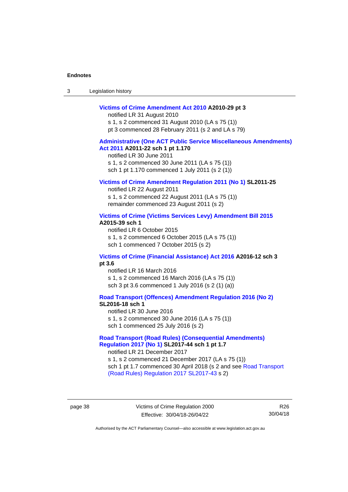| Legislation history<br>-3 |  |
|---------------------------|--|
|---------------------------|--|

#### **[Victims of Crime Amendment Act 2010](http://www.legislation.act.gov.au/a/2010-29) A2010-29 pt 3**

notified LR 31 August 2010 s 1, s 2 commenced 31 August 2010 (LA s 75 (1)) pt 3 commenced 28 February 2011 (s 2 and LA s 79)

### **[Administrative \(One ACT Public Service Miscellaneous Amendments\)](http://www.legislation.act.gov.au/a/2011-22)  Act [2011](http://www.legislation.act.gov.au/a/2011-22) A2011-22 sch 1 pt 1.170**

notified LR 30 June 2011 s 1, s 2 commenced 30 June 2011 (LA s 75 (1)) sch 1 pt 1.170 commenced 1 July 2011 (s 2 (1))

#### **[Victims of Crime Amendment Regulation](http://www.legislation.act.gov.au/sl/2011-25) 2011 (No 1) SL2011-25**

notified LR 22 August 2011 s 1, s 2 commenced 22 August 2011 (LA s 75 (1)) remainder commenced 23 August 2011 (s 2)

#### **[Victims of Crime \(Victims Services Levy\) Amendment Bill 2015](http://www.legislation.act.gov.au/a/2015-39) A2015-39 sch 1**

notified LR 6 October 2015 s 1, s 2 commenced 6 October 2015 (LA s 75 (1)) sch 1 commenced 7 October 2015 (s 2)

#### **[Victims of Crime \(Financial Assistance\) Act 2016](http://www.legislation.act.gov.au/a/2016-12/default.asp) A2016-12 sch 3 pt 3.6**

notified LR 16 March 2016 s 1, s 2 commenced 16 March 2016 (LA s 75 (1)) sch 3 pt 3.6 commenced 1 July 2016 (s 2 (1) (a))

**[Road Transport \(Offences\) Amendment Regulation 2016 \(No 2\)](http://www.legislation.act.gov.au/sl/2016-18) SL2016-18 sch 1**

notified LR 30 June 2016

s 1, s 2 commenced 30 June 2016 (LA s 75 (1))

sch 1 commenced 25 July 2016 (s 2)

### **[Road Transport \(Road Rules\) \(Consequential Amendments\)](http://www.legislation.act.gov.au/sl/2017-44/default.asp)  Regulation [2017 \(No 1\)](http://www.legislation.act.gov.au/sl/2017-44/default.asp) SL2017-44 sch 1 pt 1.7**

notified LR 21 December 2017 s 1, s 2 commenced 21 December 2017 (LA s 75 (1)) sch 1 pt 1.7 commenced 30 April 2018 (s 2 and see Road Transport [\(Road Rules\) Regulation 2017](http://www.legislation.act.gov.au/sl/2017-43/default.asp) SL2017-43 s 2)

page 38 Victims of Crime Regulation 2000 Effective: 30/04/18-26/04/22

R26 30/04/18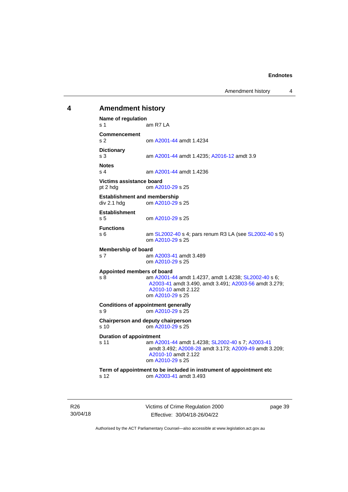Amendment history 4

### <span id="page-44-0"></span>**4 Amendment history Name of regulation** s 1 am R7 LA **Commencement** s 2 om [A2001-44](http://www.legislation.act.gov.au/a/2001-44) amdt 1.4234 **Dictionary** am [A2001-44](http://www.legislation.act.gov.au/a/2001-44) amdt 1.4235; [A2016-12](http://www.legislation.act.gov.au/a/2016-12/default.asp) amdt 3.9 **Notes** s 4 am [A2001-44](http://www.legislation.act.gov.au/a/2001-44) amdt 1.4236 **Victims assistance board** pt 2 hdg om [A2010-29](http://www.legislation.act.gov.au/a/2010-29) s 25 **Establishment and membership**<br>div 2.1 hdd om A2010-29 om [A2010-29](http://www.legislation.act.gov.au/a/2010-29) s 25 **Establishment** s 5 om [A2010-29](http://www.legislation.act.gov.au/a/2010-29) s 25 **Functions** s 6 am [SL2002-40](http://www.legislation.act.gov.au/sl/2002-40) s 4; pars renum R3 LA (see [SL2002-40](http://www.legislation.act.gov.au/sl/2002-40) s 5) om [A2010-29](http://www.legislation.act.gov.au/a/2010-29) s 25 **Membership of board** s 7 am [A2003-41](http://www.legislation.act.gov.au/a/2003-41) amdt 3.489 om [A2010-29](http://www.legislation.act.gov.au/a/2010-29) s 25 **Appointed members of board** s 8 am [A2001-44](http://www.legislation.act.gov.au/a/2001-44) amdt 1.4237, amdt 1.4238[; SL2002-40](http://www.legislation.act.gov.au/sl/2002-40) s 6; [A2003-41](http://www.legislation.act.gov.au/a/2003-41) amdt 3.490, amdt 3.491[; A2003-56](http://www.legislation.act.gov.au/a/2003-56) amdt 3.279; [A2010-10](http://www.legislation.act.gov.au/a/2010-10) amdt 2.122 om [A2010-29](http://www.legislation.act.gov.au/a/2010-29) s 25 **Conditions of appointment generally** s 9 om [A2010-29](http://www.legislation.act.gov.au/a/2010-29) s 25 **Chairperson and deputy chairperson** s 10 om [A2010-29](http://www.legislation.act.gov.au/a/2010-29) s 25 **Duration of appointment** s 11 am [A2001-44](http://www.legislation.act.gov.au/a/2001-44) amdt 1.4238[; SL2002-40](http://www.legislation.act.gov.au/sl/2002-40) s 7; [A2003-41](http://www.legislation.act.gov.au/a/2003-41) amdt 3.492; [A2008-28](http://www.legislation.act.gov.au/a/2008-28) amdt 3.173[; A2009-49](http://www.legislation.act.gov.au/a/2009-49) amdt 3.209; [A2010-10](http://www.legislation.act.gov.au/a/2010-10) amdt 2.122 om [A2010-29](http://www.legislation.act.gov.au/a/2010-29) s 25 **Term of appointment to be included in instrument of appointment etc** s 12 om [A2003-41](http://www.legislation.act.gov.au/a/2003-41) amdt 3.493

R26 30/04/18 Victims of Crime Regulation 2000 Effective: 30/04/18-26/04/22

page 39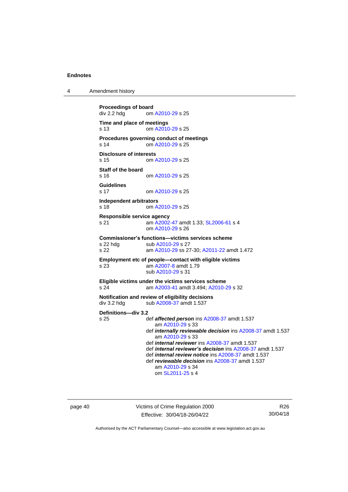4 Amendment history

```
Proceedings of board<br>div 2.2 hdg om
                 A2010-29 s 25
Time and place of meetings
s 13 om A2010-29 s 25
Procedures governing conduct of meetings
s 14 om A2010-29 s 25
Disclosure of interests
s 15 om A2010-29 s 25
Staff of the board
s 16 om A2010-29 s 25
Guidelines
s 17 om A2010-29 s 25
Independent arbitrators<br>s 18 cm A
                 A2010-29 s 25
Responsible service agency
s 21 am A2002-47 amdt 1.33; SL2006-61 s 4
                om A2010-29 s 26
Commissioner's functions—victims services scheme
 A2010-29 s 27
s 22 am A2010-29 ss 27-30; A2011-22 amdt 1.472
Employment etc of people—contact with eligible victims
s 23 am A2007-8 amdt 1.79
                sub A2010-29 s 31
Eligible victims under the victims services scheme
s 24 am A2003-41 amdt 3.494; A2010-29 s 32
Notification and review of eligibility decisions
 A2008-37 amdt 1.537
Definitions—div 3.2
                def affected persons A2008-37 amdt 1.537
                   am A2010-29 s 33
                def internally reviewable decision ins A2008-37 amdt 1.537
                   am A2010-29 s 33
                def internal reviewer ins A2008-37 amdt 1.537
                def internal reviewer's decision ins A2008-37 amdt 1.537
                def internal review notice ins A2008-37 amdt 1.537
                def reviewable decision ins A2008-37 amdt 1.537
                   am A2010-29 s 34
                   om SL2011-25 s 4
```
page 40 Victims of Crime Regulation 2000 Effective: 30/04/18-26/04/22

R26 30/04/18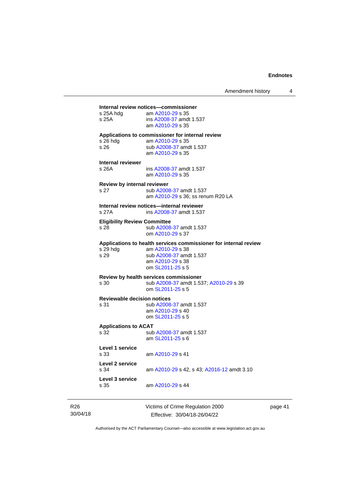### **Internal review notices—commissioner**

| s 25A hdg<br>s 25A                          | Internal review notices—commissioner<br>am A2010-29 s 35<br>ins A2008-37 amdt 1.537<br>am A2010-29 s 35                                                 |
|---------------------------------------------|---------------------------------------------------------------------------------------------------------------------------------------------------------|
| s 26 hda<br>s 26                            | Applications to commissioner for internal review<br>am A2010-29 s 35<br>sub A2008-37 amdt 1.537<br>am A2010-29 s 35                                     |
| Internal reviewer<br>s 26A                  | ins A2008-37 amdt 1.537<br>am A2010-29 s 35                                                                                                             |
| Review by internal reviewer<br>s 27         | sub A2008-37 amdt 1.537<br>am A2010-29 s 36; ss renum R20 LA                                                                                            |
| s 27A                                       | Internal review notices-internal reviewer<br>ins A2008-37 amdt 1.537                                                                                    |
| <b>Eligibility Review Committee</b><br>s 28 | sub A2008-37 amdt 1.537<br>om A2010-29 s 37                                                                                                             |
| s 29 hda<br>s 29                            | Applications to health services commissioner for internal review<br>am A2010-29 s 38<br>sub A2008-37 amdt 1.537<br>am A2010-29 s 38<br>om SL2011-25 s 5 |
| s 30                                        | Review by health services commissioner<br>sub A2008-37 amdt 1.537; A2010-29 s 39<br>om SL2011-25 s 5                                                    |
| <b>Reviewable decision notices</b><br>s 31  | sub A2008-37 amdt 1.537<br>am A2010-29 s 40<br>om SL2011-25 s 5                                                                                         |
| <b>Applications to ACAT</b><br>s 32         | sub A2008-37 amdt 1.537<br>am SL2011-25 s 6                                                                                                             |
| Level 1 service<br>s 33                     | am A2010-29 s 41                                                                                                                                        |
| Level 2 service<br>s 34                     | am A2010-29 s 42, s 43; A2016-12 amdt 3.10                                                                                                              |
| Level 3 service<br>s 35                     | am A2010-29 s 44                                                                                                                                        |

R26 30/04/18 Victims of Crime Regulation 2000 Effective: 30/04/18-26/04/22

page 41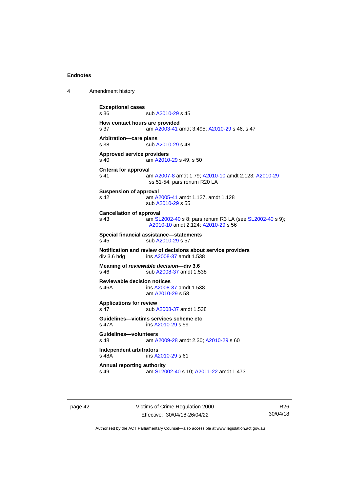4 Amendment history

```
Exceptional cases
                A2010-29 s 45
How contact hours are provided
s 37 am A2003-41 amdt 3.495; A2010-29 s 46, s 47
Arbitration—care plans
 A2010-29 s 48
Approved service providers
s 40  A2010-29 s 49, s 50
Criteria for approval
s 41 am A2007-8 amdt 1.79; A2010-10 amdt 2.123; A2010-29
               ss 51-54; pars renum R20 LA
Suspension of approval
s 42 am A2005-41 amdt 1.127, amdt 1.128
               sub A2010-29 s 55
Cancellation of approval
s 43  SL2002-40 s 8; pars renum R3 LA (see SL2002-40 s 9);
                A2010-10 amdt 2.124; A2010-29 s 56
Special financial assistance—statements
 A2010-29 s 57
Notification and review of decisions about service providers
 A2008-37 amdt 1.538
Meaning of reviewable decision—div 3.6
s 46 sub A2008-37 amdt 1.538
Reviewable decision notices
s 46A ins A2008-37 amdt 1.538
               am A2010-29 s 58
Applications for review
 A2008-37 amdt 1.538
Guidelines—victims services scheme etc
s 47A ins A2010-29 s 59
Guidelines—volunteers
s 48 am A2009-28 amdt 2.30; A2010-29 s 60
Independent arbitrators
                A2010-29 s 61
Annual reporting authority
s 49 am SL2002-40 s 10; A2011-22 amdt 1.473
```
page 42 Victims of Crime Regulation 2000 Effective: 30/04/18-26/04/22

R26 30/04/18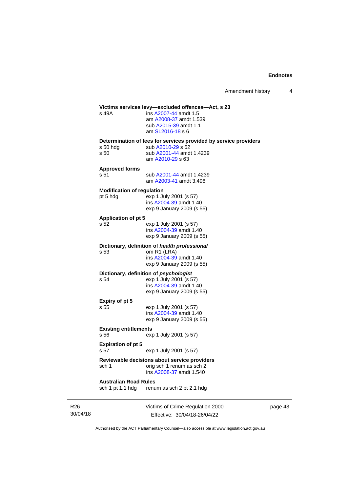# **Victims services levy—excluded offences—Act, s 23**<br>s 49A **ins A2007-44** amdt 1.5

ins [A2007-44](http://www.legislation.act.gov.au/a/2007-44) amdt 1.5 am [A2008-37](http://www.legislation.act.gov.au/a/2008-37) amdt 1.539 sub [A2015-39](http://www.legislation.act.gov.au/a/2015-39) amdt 1.1 am [SL2016-18](http://www.legislation.act.gov.au/sl/2016-18) s 6 **Determination of fees for services provided by service providers**

s 50 hdg sub [A2010-29](http://www.legislation.act.gov.au/a/2010-29) s 62<br>s 50 sub A2001-44 amd sub [A2001-44](http://www.legislation.act.gov.au/a/2001-44) amdt 1.4239 am [A2010-29](http://www.legislation.act.gov.au/a/2010-29) s 63

**Approved forms**

s 51 sub [A2001-44](http://www.legislation.act.gov.au/a/2001-44) amdt 1.4239 am [A2003-41](http://www.legislation.act.gov.au/a/2003-41) amdt 3.496

#### **Modification of regulation**

pt 5 hdg exp 1 July 2001 (s 57) ins [A2004-39](http://www.legislation.act.gov.au/a/2004-39) amdt 1.40 exp 9 January 2009 (s 55)

#### **Application of pt 5**

s 52 exp 1 July 2001 (s 57) ins [A2004-39](http://www.legislation.act.gov.au/a/2004-39) amdt 1.40 exp 9 January 2009 (s 55)

#### **Dictionary, definition of** *health professional*

s 53 om R1 (LRA) ins [A2004-39](http://www.legislation.act.gov.au/a/2004-39) amdt 1.40 exp 9 January 2009 (s 55)

# **Dictionary, definition of** *psychologist*<br>s 54 exp 1 July 2001 (s 5

exp 1 July 2001 (s 57) ins [A2004-39](http://www.legislation.act.gov.au/a/2004-39) amdt 1.40 exp 9 January 2009 (s 55)

# **Expiry of pt 5**

exp 1 July 2001 (s 57) ins [A2004-39](http://www.legislation.act.gov.au/a/2004-39) amdt 1.40 exp 9 January 2009 (s 55)

### **Existing entitlements**

s 56 exp 1 July 2001 (s 57)

#### **Expiration of pt 5**

s 57 exp 1 July 2001 (s 57)

#### **Reviewable decisions about service providers** sch 1 orig sch 1 renum as sch 2

ins [A2008-37](http://www.legislation.act.gov.au/a/2008-37) amdt 1.540

#### **Australian Road Rules**

sch 1 pt 1.1 hdg renum as sch 2 pt 2.1 hdg

Victims of Crime Regulation 2000 Effective: 30/04/18-26/04/22

page 43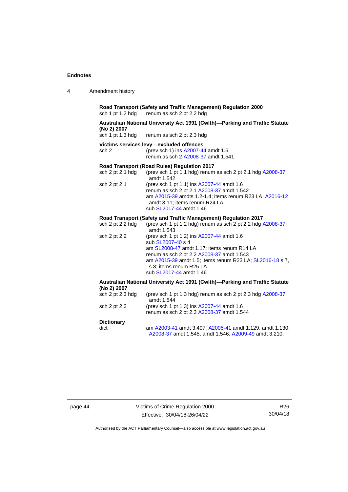| Amendment history<br>4 |
|------------------------|
|------------------------|

**Road Transport (Safety and Traffic Management) Regulation 2000** sch 1 pt 1.2 hdg renum as sch 2 pt 2.2 hdg renum as sch 2 pt 2.2 hdg

## **Australian National University Act 1991 (Cwlth)—Parking and Traffic Statute (No 2) 2007**

renum as sch 2 pt 2.3 hdg

#### **Victims services levy—excluded offences**

sch 2 (prev sch 1) ins [A2007-44](http://www.legislation.act.gov.au/a/2007-44) amdt 1.6 renum as sch 2 [A2008-37](http://www.legislation.act.gov.au/a/2008-37) amdt 1.541

### **Road Transport (Road Rules) Regulation 2017**

| sch $2$ pt $2.1$ hdg | (prev sch 1 pt 1.1 hdg) renum as sch 2 pt 2.1 hdg $A2008-37$<br>amdt 1.542                                                                                                                                    |
|----------------------|---------------------------------------------------------------------------------------------------------------------------------------------------------------------------------------------------------------|
| sch 2 pt 2.1         | (prev sch 1 pt 1.1) ins A2007-44 amdt 1.6<br>renum as sch 2 pt 2.1 A2008-37 amdt 1.542<br>am A2015-39 amdts 1.2-1.4; items renum R23 LA; A2016-12<br>amdt 3.11; items renum R24 LA<br>sub SL2017-44 amdt 1.46 |

#### **Road Transport (Safety and Traffic Management) Regulation 2017**

| sch 2 pt 2.2 hdg | (prev sch 1 pt 1.2 hdg) renum as sch 2 pt 2.2 hdg A2008-37<br>amdt 1.543                                                                                                                                                                                                    |
|------------------|-----------------------------------------------------------------------------------------------------------------------------------------------------------------------------------------------------------------------------------------------------------------------------|
| sch 2 pt 2.2     | (prev sch 1 pt 1.2) ins A2007-44 amdt 1.6<br>sub SL2007-40 s 4<br>am SL2008-47 amdt 1.17; items renum R14 LA<br>renum as sch 2 pt 2.2 A2008-37 amdt 1.543<br>am A2015-39 amdt 1.5; items renum R23 LA; SL2016-18 s 7,<br>s 8; items renum R25 LA<br>sub SL2017-44 amdt 1.46 |

#### **Australian National University Act 1991 (Cwlth)—Parking and Traffic Statute (No 2) 2007**<br>sch 2 pt 2.3 hds  $s_1$

| $SCHZ$ pt 2.3 $HQ$ | (previsori 1 pt 1.3 ngg) renum as son 2 pt 2.3 ngg A2006-37 |
|--------------------|-------------------------------------------------------------|
|                    | amdt 1.544                                                  |
| sch 2 pt 2.3       | (prev sch 1 pt 1.3) ins A2007-44 amdt 1.6                   |
|                    | renum as sch 2 pt 2.3 A2008-37 amdt 1.544                   |
|                    |                                                             |

### **Dictionary**

| dict | am A2003-41 amdt 3.497; A2005-41 amdt 1.129, amdt 1.130; |
|------|----------------------------------------------------------|
|      | A2008-37 amdt 1.545, amdt 1.546; A2009-49 amdt 3.210;    |

page 44 Victims of Crime Regulation 2000 Effective: 30/04/18-26/04/22

R26 30/04/18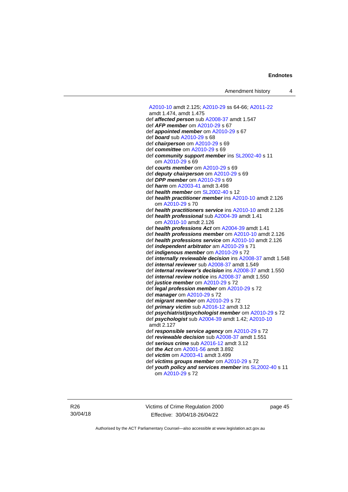[A2010-10](http://www.legislation.act.gov.au/a/2010-10) amdt 2.125[; A2010-29](http://www.legislation.act.gov.au/a/2010-29) ss 64-66[; A2011-22](http://www.legislation.act.gov.au/a/2011-22) amdt 1.474, amdt 1.475 def *affected person* su[b A2008-37](http://www.legislation.act.gov.au/a/2008-37) amdt 1.547 def *AFP member* om [A2010-29](http://www.legislation.act.gov.au/a/2010-29) s 67 def *appointed member* om [A2010-29](http://www.legislation.act.gov.au/a/2010-29) s 67 def *board* su[b A2010-29](http://www.legislation.act.gov.au/a/2010-29) s 68 def *chairperson* om [A2010-29](http://www.legislation.act.gov.au/a/2010-29) s 69 def *committee* o[m A2010-29](http://www.legislation.act.gov.au/a/2010-29) s 69 def *community support member* ins [SL2002-40](http://www.legislation.act.gov.au/sl/2002-40) s 11 om [A2010-29](http://www.legislation.act.gov.au/a/2010-29) s 69 def *courts member* o[m A2010-29](http://www.legislation.act.gov.au/a/2010-29) s 69 def *deputy chairperson* om [A2010-29](http://www.legislation.act.gov.au/a/2010-29) s 69 def *DPP member* o[m A2010-29](http://www.legislation.act.gov.au/a/2010-29) s 69 def *harm* o[m A2003-41](http://www.legislation.act.gov.au/a/2003-41) amdt 3.498 def *health member* o[m SL2002-40](http://www.legislation.act.gov.au/sl/2002-40) s 12 def *health practitioner member* in[s A2010-10](http://www.legislation.act.gov.au/a/2010-10) amdt 2.126 om [A2010-29](http://www.legislation.act.gov.au/a/2010-29) s 70 def *health practitioners service* in[s A2010-10](http://www.legislation.act.gov.au/a/2010-10) amdt 2.126 def *health professional* sub [A2004-39](http://www.legislation.act.gov.au/a/2004-39) amdt 1.41 om [A2010-10](http://www.legislation.act.gov.au/a/2010-10) amdt 2.126 def *health professions Act* o[m A2004-39](http://www.legislation.act.gov.au/a/2004-39) amdt 1.41 def *health professions member* om [A2010-10](http://www.legislation.act.gov.au/a/2010-10) amdt 2.126 def *health professions service* om [A2010-10](http://www.legislation.act.gov.au/a/2010-10) amdt 2.126 def *independent arbitrator* a[m A2010-29](http://www.legislation.act.gov.au/a/2010-29) s 71 def *indigenous member* om [A2010-29](http://www.legislation.act.gov.au/a/2010-29) s 72 def *internally reviewable decision* ins [A2008-37](http://www.legislation.act.gov.au/a/2008-37) amdt 1.548 def *internal reviewer* sub [A2008-37](http://www.legislation.act.gov.au/a/2008-37) amdt 1.549 def *internal reviewer's decision* in[s A2008-37](http://www.legislation.act.gov.au/a/2008-37) amdt 1.550 def *internal review notice* in[s A2008-37](http://www.legislation.act.gov.au/a/2008-37) amdt 1.550 def *justice member* o[m A2010-29](http://www.legislation.act.gov.au/a/2010-29) s 72 def *legal profession member* om [A2010-29](http://www.legislation.act.gov.au/a/2010-29) s 72 def *manager* om [A2010-29](http://www.legislation.act.gov.au/a/2010-29) s 72 def *migrant member* om [A2010-29](http://www.legislation.act.gov.au/a/2010-29) s 72 def *primary victim* sub [A2016-12](http://www.legislation.act.gov.au/a/2016-12/default.asp) amdt 3.12 def *psychiatrist/psychologist member* o[m A2010-29](http://www.legislation.act.gov.au/a/2010-29) s 72 def *psychologist* sub [A2004-39](http://www.legislation.act.gov.au/a/2004-39) amdt 1.42[; A2010-10](http://www.legislation.act.gov.au/a/2010-10) amdt 2.127 def *responsible service agency* om [A2010-29](http://www.legislation.act.gov.au/a/2010-29) s 72 def *reviewable decision* su[b A2008-37](http://www.legislation.act.gov.au/a/2008-37) amdt 1.551 def *serious crime* sub [A2016-12](http://www.legislation.act.gov.au/a/2016-12/default.asp) amdt 3.12 def *the Act* om [A2001-56](http://www.legislation.act.gov.au/a/2001-56) amdt 3.892 def *victim* o[m A2003-41](http://www.legislation.act.gov.au/a/2003-41) amdt 3.499 def *victims groups member* om [A2010-29](http://www.legislation.act.gov.au/a/2010-29) s 72 def *youth policy and services member* ins [SL2002-40](http://www.legislation.act.gov.au/sl/2002-40) s 11

om [A2010-29](http://www.legislation.act.gov.au/a/2010-29) s 72

R26 30/04/18 Victims of Crime Regulation 2000 Effective: 30/04/18-26/04/22

page 45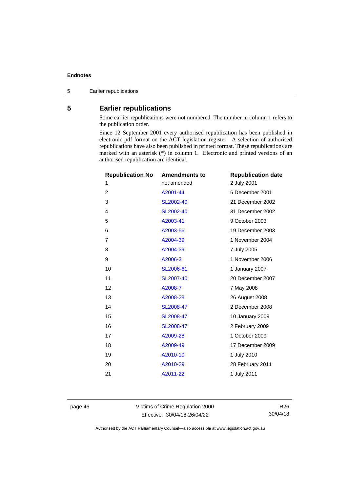Earlier republications

### <span id="page-51-0"></span>**Earlier republications**

Some earlier republications were not numbered. The number in column 1 refers to the publication order.

Since 12 September 2001 every authorised republication has been published in electronic pdf format on the ACT legislation register. A selection of authorised republications have also been published in printed format. These republications are marked with an asterisk (\*) in column 1. Electronic and printed versions of an authorised republication are identical.

| <b>Republication No</b> | <b>Amendments to</b> | <b>Republication date</b> |
|-------------------------|----------------------|---------------------------|
| 1                       | not amended          | 2 July 2001               |
| 2                       | A2001-44             | 6 December 2001           |
| 3                       | SL2002-40            | 21 December 2002          |
| 4                       | SL2002-40            | 31 December 2002          |
| 5                       | A2003-41             | 9 October 2003            |
| 6                       | A2003-56             | 19 December 2003          |
| 7                       | A2004-39             | 1 November 2004           |
| 8                       | A2004-39             | 7 July 2005               |
| 9                       | A2006-3              | 1 November 2006           |
| 10                      | SL2006-61            | 1 January 2007            |
| 11                      | SL2007-40            | 20 December 2007          |
| 12                      | A2008-7              | 7 May 2008                |
| 13                      | A2008-28             | 26 August 2008            |
| 14                      | SL2008-47            | 2 December 2008           |
| 15                      | SL2008-47            | 10 January 2009           |
| 16                      | SL2008-47            | 2 February 2009           |
| 17                      | A2009-28             | 1 October 2009            |
| 18                      | A2009-49             | 17 December 2009          |
| 19                      | A2010-10             | 1 July 2010               |
| 20                      | A2010-29             | 28 February 2011          |
| 21                      | A2011-22             | 1 July 2011               |
|                         |                      |                           |

page 46 Victims of Crime Regulation 2000 Effective: 30/04/18-26/04/22

R26 30/04/18